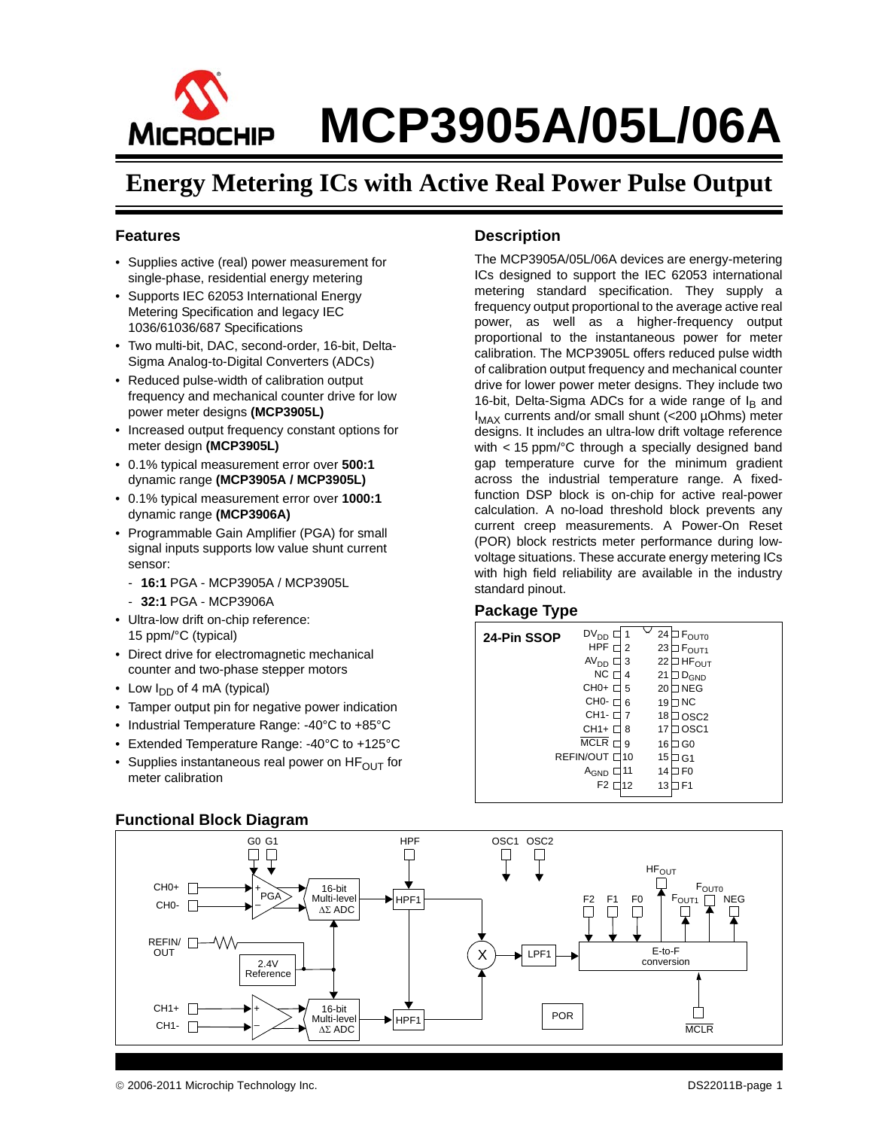

### **Energy Metering ICs with Active Real Power Pulse Output**

#### <span id="page-0-0"></span>**Features**

- Supplies active (real) power measurement for single-phase, residential energy metering
- Supports IEC 62053 International Energy Metering Specification and legacy IEC 1036/61036/687 Specifications
- Two multi-bit, DAC, second-order, 16-bit, Delta-Sigma Analog-to-Digital Converters (ADCs)
- Reduced pulse-width of calibration output frequency and mechanical counter drive for low power meter designs **(MCP3905L)**
- Increased output frequency constant options for meter design **(MCP3905L)**
- 0.1% typical measurement error over **500:1** dynamic range **(MCP3905A / MCP3905L)**
- 0.1% typical measurement error over **1000:1** dynamic range **(MCP3906A)**
- Programmable Gain Amplifier (PGA) for small signal inputs supports low value shunt current sensor:
	- **16:1** PGA MCP3905A / MCP3905L
	- **32:1** PGA MCP3906A
- Ultra-low drift on-chip reference: 15 ppm/°C (typical)
- Direct drive for electromagnetic mechanical counter and two-phase stepper motors
- Low  $I_{DD}$  of 4 mA (typical)
- Tamper output pin for negative power indication
- Industrial Temperature Range: -40°C to +85°C
- Extended Temperature Range: -40°C to +125°C
- Supplies instantaneous real power on  $HF_{\text{OUT}}$  for meter calibration

#### HPF G0 G1 OSC1 OSC2  $\Box$  $\Box$ П  $\Box$ Д **HF<sub>OUT</sub>** CH0+  $F_{\text{OUT0}}$ 16-bit + PGA F2 F1<br>口 口  $Multi-level$   $\longrightarrow$   $HPF1$   $F2$   $F1$   $F0$ <br> $\Delta \Sigma$  ADC HPF<sub>1</sub>  $_{\text{OUT1}}$   $\Box$ NEG CH0- – ΔΣ ADC REFIN/ <sup>-</sup>  $LPF1$  E-to-F OUT X conversion 2.4V Reference  $CH1+$   $\Pi$ 16-bit +  $\Box$ POR Multi-level HPF1  $CH1-$ – **MCLR** ΔΣ ADC

#### **Functional Block Diagram**

#### **Description**

The MCP3905A/05L/06A devices are energy-metering ICs designed to support the IEC 62053 international metering standard specification. They supply a frequency output proportional to the average active real power, as well as a higher-frequency output proportional to the instantaneous power for meter calibration. The MCP3905L offers reduced pulse width of calibration output frequency and mechanical counter drive for lower power meter designs. They include two 16-bit, Delta-Sigma ADCs for a wide range of  $I_B$  and  $I_{MAX}$  currents and/or small shunt (<200  $\mu$ Ohms) meter designs. It includes an ultra-low drift voltage reference with < 15 ppm/°C through a specially designed band gap temperature curve for the minimum gradient across the industrial temperature range. A fixedfunction DSP block is on-chip for active real-power calculation. A no-load threshold block prevents any current creep measurements. A Power-On Reset (POR) block restricts meter performance during lowvoltage situations. These accurate energy metering ICs with high field reliability are available in the industry standard pinout.

#### **Package Type**

| 24-Pin SSOP | $DV_{DD}$<br>HPF<br>2<br>AV <sub>DD</sub><br>3<br>NCT<br>4<br>$CHO+$<br>5                     | 24<br>$\Box$ $F_{\text{OUTO}}$<br>23<br>F <sub>OUT1</sub><br>22<br><b>JHF<sub>OUT</sub></b><br>21<br>$D_{GND}$<br>$\sqsupset$ NEG<br>20 |  |
|-------------|-----------------------------------------------------------------------------------------------|-----------------------------------------------------------------------------------------------------------------------------------------|--|
|             | $CHO H$<br>6<br>CH1- O<br>CH1+ □<br>8                                                         | 7 NC<br>19<br>18<br>⊐osc2<br>⊐ OSC1<br>17                                                                                               |  |
|             | MCLR <sub>I</sub><br>9<br>REFIN/OUT L<br>10<br>11<br>A <sub>GND</sub><br>F <sub>2</sub><br>12 | 16<br>∃ G0<br>15<br>J G1<br>⊐ F0<br>14<br>3 F1<br>13                                                                                    |  |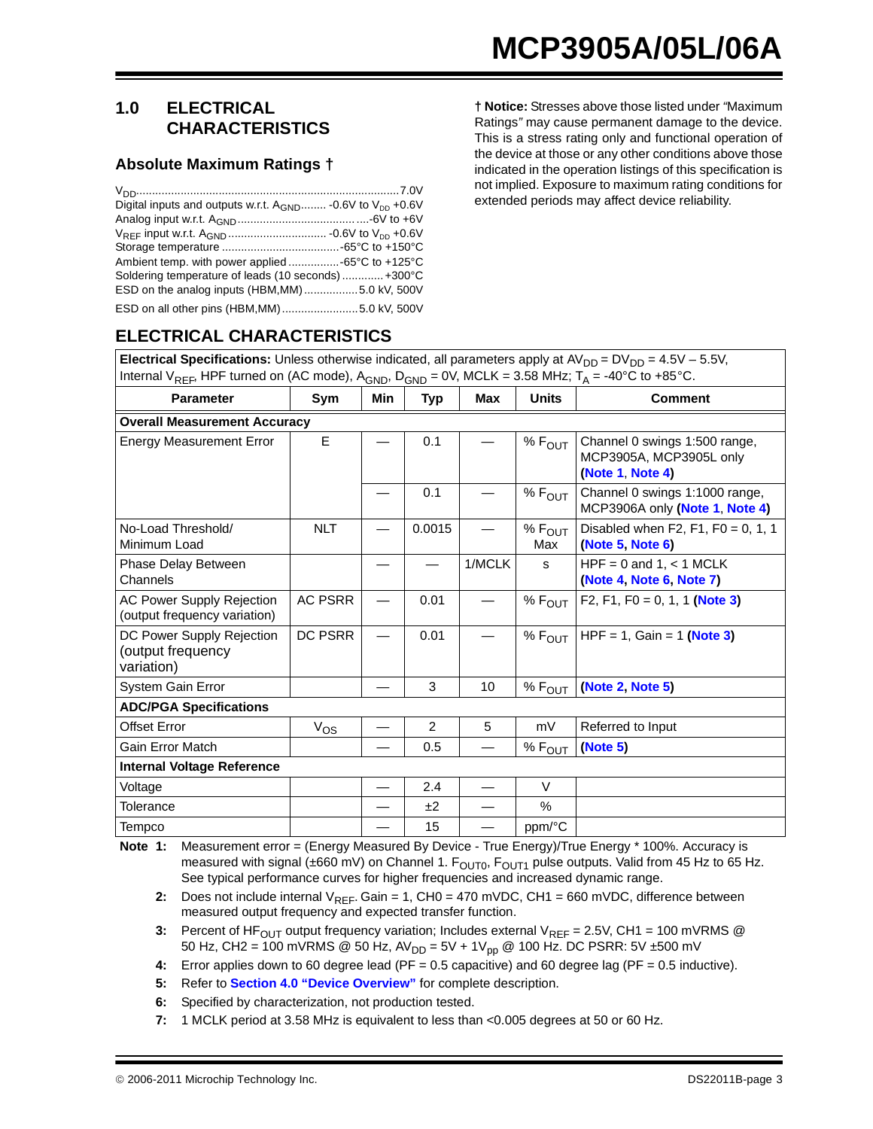#### <span id="page-2-7"></span>**1.0 ELECTRICAL CHARACTERISTICS**

#### **Absolute Maximum Ratings †**

| Digital inputs and outputs w.r.t. $A_{GND}$ -0.6V to $V_{DD}$ +0.6V |
|---------------------------------------------------------------------|
|                                                                     |
|                                                                     |
|                                                                     |
|                                                                     |
| Soldering temperature of leads (10 seconds)  +300°C                 |
| ESD on the analog inputs (HBM, MM)5.0 kV, 500V                      |
|                                                                     |

**† Notice:** Stresses above those listed under *"*Maximum Ratings*"* may cause permanent damage to the device. This is a stress rating only and functional operation of the device at those or any other conditions above those indicated in the operation listings of this specification is not implied. Exposure to maximum rating conditions for extended periods may affect device reliability.

| Electrical Specifications: Unless otherwise indicated, all parameters apply at $AV_{DD} = DV_{DD} = 4.5V - 5.5V$ ,                               |                |                          |                |                          |                        |                                                                              |
|--------------------------------------------------------------------------------------------------------------------------------------------------|----------------|--------------------------|----------------|--------------------------|------------------------|------------------------------------------------------------------------------|
| Internal V <sub>REF</sub> , HPF turned on (AC mode), A <sub>GND</sub> , D <sub>GND</sub> = 0V, MCLK = 3.58 MHz; T <sub>A</sub> = -40°C to +85°C. |                |                          |                |                          |                        |                                                                              |
| <b>Parameter</b>                                                                                                                                 | Sym            | Min                      | <b>Typ</b>     | Max                      | <b>Units</b>           | <b>Comment</b>                                                               |
| <b>Overall Measurement Accuracy</b>                                                                                                              |                |                          |                |                          |                        |                                                                              |
| <b>Energy Measurement Error</b>                                                                                                                  | E              |                          | 0.1            |                          | $%F_{OUT}$             | Channel 0 swings 1:500 range,<br>MCP3905A, MCP3905L only<br>(Note 1, Note 4) |
|                                                                                                                                                  |                |                          | 0.1            |                          | $%F_{OUT}$             | Channel 0 swings 1:1000 range,<br>MCP3906A only (Note 1, Note 4)             |
| No-Load Threshold/<br>Minimum Load                                                                                                               | <b>NLT</b>     |                          | 0.0015         |                          | $%$ $F_{OUT}$<br>Max   | Disabled when F2, F1, F0 = 0, 1, 1<br>(Note 5, Note 6)                       |
| Phase Delay Between<br>Channels                                                                                                                  |                |                          |                | 1/MCLK                   | s                      | $HPF = 0$ and 1, < 1 MCLK<br>(Note 4, Note 6, Note 7)                        |
| <b>AC Power Supply Rejection</b><br>(output frequency variation)                                                                                 | <b>AC PSRR</b> |                          | 0.01           |                          | $%F_{OUT}$             | F2, F1, F0 = 0, 1, 1 (Note 3)                                                |
| DC Power Supply Rejection<br>(output frequency<br>variation)                                                                                     | DC PSRR        |                          | 0.01           |                          | $%$ Е $_{\Omega\Pi}$ т | HPF = 1, Gain = 1 (Note 3)                                                   |
| System Gain Error                                                                                                                                |                |                          | 3              | 10                       | $%$ $F_{OUT}$          | (Note 2, Note 5)                                                             |
| <b>ADC/PGA Specifications</b>                                                                                                                    |                |                          |                |                          |                        |                                                                              |
| <b>Offset Error</b>                                                                                                                              | $V_{OS}$       |                          | $\overline{2}$ | 5                        | mV                     | Referred to Input                                                            |
| <b>Gain Error Match</b>                                                                                                                          |                |                          | 0.5            |                          | $%$ $F_{OUT}$          | (Note 5)                                                                     |
| <b>Internal Voltage Reference</b>                                                                                                                |                |                          |                |                          |                        |                                                                              |
| Voltage                                                                                                                                          |                | $\overline{\phantom{0}}$ | 2.4            | $\overline{\phantom{0}}$ | $\vee$                 |                                                                              |
| Tolerance                                                                                                                                        |                |                          | ±2             |                          | %                      |                                                                              |
| Tempco                                                                                                                                           |                |                          | 15             |                          | ppm/°C                 |                                                                              |

**ELECTRICAL CHARACTERISTICS**

<span id="page-2-0"></span>**Note 1:** Measurement error = (Energy Measured By Device - True Energy)/True Energy \* 100%. Accuracy is measured with signal ( $\pm 660$  mV) on Channel 1. F<sub>OUT0</sub>, F<sub>OUT1</sub> pulse outputs. Valid from 45 Hz to 65 Hz. See typical performance curves for higher frequencies and increased dynamic range.

<span id="page-2-6"></span>**2:** Does not include internal V<sub>REF</sub>. Gain = 1, CH0 = 470 mVDC, CH1 = 660 mVDC, difference between measured output frequency and expected transfer function.

<span id="page-2-5"></span>**3:** Percent of HF<sub>OUT</sub> output frequency variation; Includes external  $V_{REF} = 2.5V$ , CH1 = 100 mVRMS @ 50 Hz, CH2 = 100 mVRMS @ 50 Hz,  $AV_{DD} = 5V + 1V_{pp}$  @ 100 Hz. DC PSRR: 5V ±500 mV

<span id="page-2-1"></span>**4:** Error applies down to 60 degree lead (PF = 0.5 capacitive) and 60 degree lag (PF = 0.5 inductive).

- <span id="page-2-2"></span>**5:** Refer to **[Section 4.0 "Device Overview"](#page-14-0)** for complete description.
- <span id="page-2-3"></span>**6:** Specified by characterization, not production tested.

<span id="page-2-4"></span>**7:** 1 MCLK period at 3.58 MHz is equivalent to less than <0.005 degrees at 50 or 60 Hz.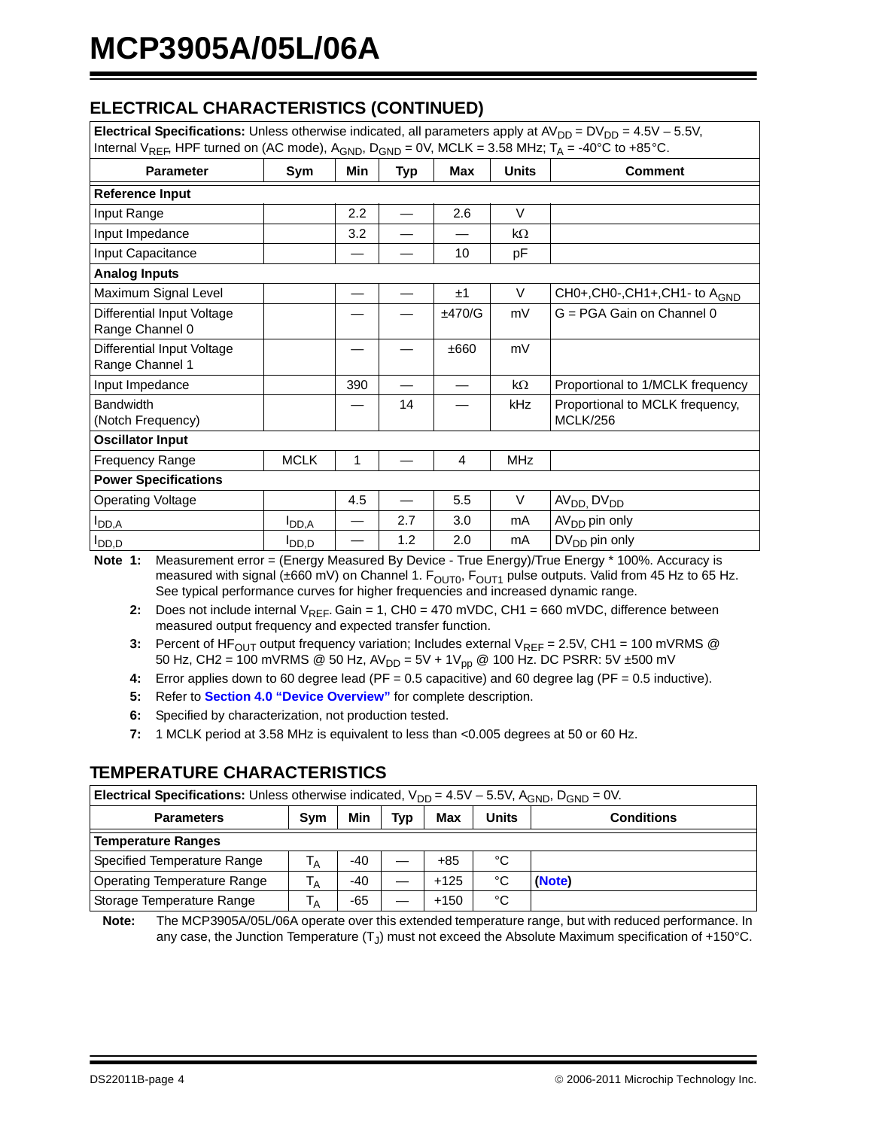### **ELECTRICAL CHARACTERISTICS (CONTINUED)**

| Electrical Specifications: Unless otherwise indicated, all parameters apply at $AV_{DD} = DV_{DD} = 4.5V - 5.5V$ ,                               |             |     |            |        |              |                                                    |
|--------------------------------------------------------------------------------------------------------------------------------------------------|-------------|-----|------------|--------|--------------|----------------------------------------------------|
| Internal V <sub>REF</sub> , HPF turned on (AC mode), A <sub>GND</sub> , D <sub>GND</sub> = 0V, MCLK = 3.58 MHz; T <sub>A</sub> = -40°C to +85°C. |             |     |            |        |              |                                                    |
| <b>Parameter</b>                                                                                                                                 | Sym         | Min | <b>Typ</b> | Max    | <b>Units</b> | <b>Comment</b>                                     |
| <b>Reference Input</b>                                                                                                                           |             |     |            |        |              |                                                    |
| Input Range                                                                                                                                      |             | 2.2 |            | 2.6    | $\vee$       |                                                    |
| Input Impedance                                                                                                                                  |             | 3.2 |            |        | $k\Omega$    |                                                    |
| Input Capacitance                                                                                                                                |             |     |            | 10     | рF           |                                                    |
| <b>Analog Inputs</b>                                                                                                                             |             |     |            |        |              |                                                    |
| Maximum Signal Level                                                                                                                             |             |     |            | ±1     | V            | CH0+, CH0-, CH1+, CH1- to A <sub>GND</sub>         |
| Differential Input Voltage<br>Range Channel 0                                                                                                    |             |     |            | ±470/G | mV           | G = PGA Gain on Channel 0                          |
| Differential Input Voltage<br>Range Channel 1                                                                                                    |             |     |            | ±660   | mV           |                                                    |
| Input Impedance                                                                                                                                  |             | 390 |            |        | $k\Omega$    | Proportional to 1/MCLK frequency                   |
| <b>Bandwidth</b><br>(Notch Frequency)                                                                                                            |             |     | 14         |        | kHz          | Proportional to MCLK frequency,<br><b>MCLK/256</b> |
| <b>Oscillator Input</b>                                                                                                                          |             |     |            |        |              |                                                    |
| <b>Frequency Range</b>                                                                                                                           | <b>MCLK</b> | 1   |            | 4      | <b>MHz</b>   |                                                    |
| <b>Power Specifications</b>                                                                                                                      |             |     |            |        |              |                                                    |
| <b>Operating Voltage</b>                                                                                                                         |             | 4.5 |            | 5.5    | V            | AV <sub>DD</sub> , DV <sub>DD</sub>                |
| $I_{DD,A}$                                                                                                                                       | $I_{DD,A}$  |     | 2.7        | 3.0    | mA           | AV <sub>DD</sub> pin only                          |
| $I_{DD,D}$                                                                                                                                       | O,OU        |     | 1.2        | 2.0    | mA           | $DV_{DD}$ pin only                                 |

**Note 1:** Measurement error = (Energy Measured By Device - True Energy)/True Energy \* 100%. Accuracy is measured with signal ( $\pm 660$  mV) on Channel 1.  $F_{\text{OUT1}}$ ,  $F_{\text{OUT1}}$  pulse outputs. Valid from 45 Hz to 65 Hz. See typical performance curves for higher frequencies and increased dynamic range.

- **2:** Does not include internal V<sub>REF</sub>. Gain = 1, CH0 = 470 mVDC, CH1 = 660 mVDC, difference between measured output frequency and expected transfer function.
- **3:** Percent of HF<sub>OUT</sub> output frequency variation; Includes external  $V_{REF} = 2.5V$ , CH1 = 100 mVRMS @ 50 Hz, CH2 = 100 mVRMS @ 50 Hz, AV<sub>DD</sub> = 5V + 1V<sub>pp</sub> @ 100 Hz. DC PSRR: 5V ±500 mV
- **4:** Error applies down to 60 degree lead (PF = 0.5 capacitive) and 60 degree lag (PF = 0.5 inductive).
- **5:** Refer to **Section 4.0 "Device Overview"** for complete description.
- **6:** Specified by characterization, not production tested.
- **7:** 1 MCLK period at 3.58 MHz is equivalent to less than <0.005 degrees at 50 or 60 Hz.

#### **TEMPERATURE CHARACTERISTICS**

| <b>Electrical Specifications:</b> Unless otherwise indicated, $V_{DD} = 4.5V - 5.5V$ , A <sub>GND</sub> , D <sub>GND</sub> = 0V. |     |     |            |            |       |                   |
|----------------------------------------------------------------------------------------------------------------------------------|-----|-----|------------|------------|-------|-------------------|
| <b>Parameters</b>                                                                                                                | Sym | Min | <b>Typ</b> | <b>Max</b> | Units | <b>Conditions</b> |
| <b>Temperature Ranges</b>                                                                                                        |     |     |            |            |       |                   |
| Specified Temperature Range                                                                                                      | Ά   | -40 |            | +85        | °C    |                   |
| <b>Operating Temperature Range</b>                                                                                               | ١A  | -40 |            | $+125$     | °C    | (Note)            |
| Storage Temperature Range                                                                                                        | A   | -65 |            | $+150$     | °C    |                   |

<span id="page-3-0"></span>**Note:** The MCP3905A/05L/06A operate over this extended temperature range, but with reduced performance. In any case, the Junction Temperature  $(T<sub>1</sub>)$  must not exceed the Absolute Maximum specification of +150°C.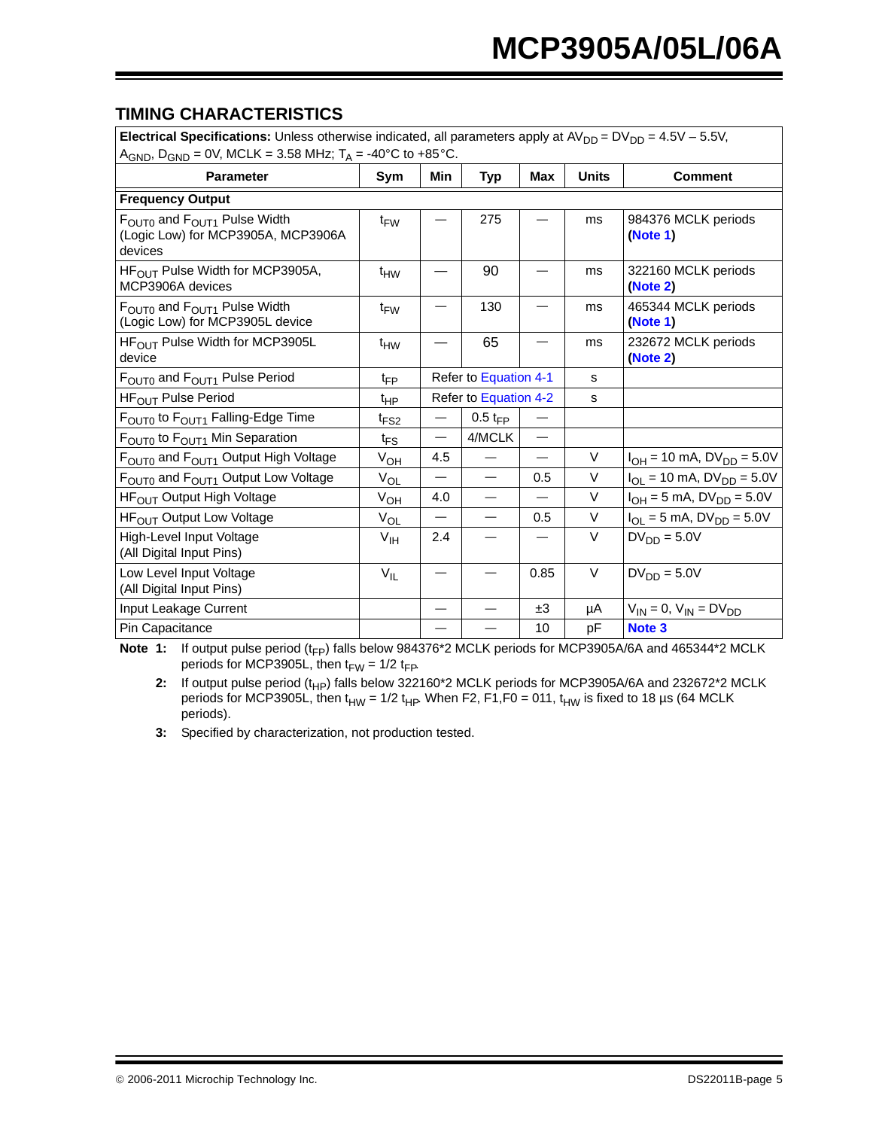#### <span id="page-4-3"></span>**TIMING CHARACTERISTICS**

| Electrical Specifications: Unless otherwise indicated, all parameters apply at $AV_{DD} = DV_{DD} = 4.5V - 5.5V$ , |                  |                          |                          |                          |               |                                           |
|--------------------------------------------------------------------------------------------------------------------|------------------|--------------------------|--------------------------|--------------------------|---------------|-------------------------------------------|
| A <sub>GND</sub> , D <sub>GND</sub> = 0V, MCLK = 3.58 MHz; T <sub>A</sub> = -40°C to +85°C.                        |                  |                          |                          |                          |               |                                           |
| <b>Parameter</b>                                                                                                   | Sym              | Min                      | Typ                      | Max                      | <b>Units</b>  | <b>Comment</b>                            |
| <b>Frequency Output</b>                                                                                            |                  |                          |                          |                          |               |                                           |
| $F_{\text{OUT0}}$ and $F_{\text{OUT1}}$ Pulse Width<br>(Logic Low) for MCP3905A, MCP3906A<br>devices               | $t_{FW}$         |                          | 275                      |                          | ms            | 984376 MCLK periods<br>(Note 1)           |
| $HFOUT$ Pulse Width for MCP3905A,<br>MCP3906A devices                                                              | $t_{HW}$         |                          | 90                       |                          | ms            | 322160 MCLK periods<br>(Note 2)           |
| $F_{\text{OUT0}}$ and $F_{\text{OUT1}}$ Pulse Width<br>(Logic Low) for MCP3905L device                             | t <sub>FW</sub>  |                          | 130                      |                          | ms            | 465344 MCLK periods<br>(Note 1)           |
| HF <sub>OUT</sub> Pulse Width for MCP3905L<br>device                                                               | $t_{HW}$         |                          | 65                       |                          | <sub>ms</sub> | 232672 MCLK periods<br>(Note 2)           |
| F <sub>OUT0</sub> and F <sub>OUT1</sub> Pulse Period                                                               | $t_{FP}$         | Refer to Equation 4-1    |                          |                          | s             |                                           |
| HF <sub>OUT</sub> Pulse Period                                                                                     | $t_{HP}$         | Refer to Equation 4-2    |                          |                          | s             |                                           |
| F <sub>OUT0</sub> to F <sub>OUT1</sub> Falling-Edge Time                                                           | t <sub>FS2</sub> | $\overline{\phantom{0}}$ | $0.5 t_{FP}$             | $\overline{\phantom{0}}$ |               |                                           |
| F <sub>OUT0</sub> to F <sub>OUT1</sub> Min Separation                                                              | $t_{FS}$         |                          | 4/MCLK                   | $\overline{\phantom{0}}$ |               |                                           |
| $FOUT0$ and $FOUT1$ Output High Voltage                                                                            | $V_{OH}$         | 4.5                      |                          | $\overline{\phantom{0}}$ | V             | $I_{OH} = 10$ mA, $DV_{DD} = 5.0V$        |
| F <sub>OUT0</sub> and F <sub>OUT1</sub> Output Low Voltage                                                         | $V_{OL}$         |                          |                          | 0.5                      | V             | $I_{OL}$ = 10 mA, DV <sub>DD</sub> = 5.0V |
| HF <sub>OUT</sub> Output High Voltage                                                                              | $V_{OH}$         | 4.0                      |                          | $\overline{\phantom{0}}$ | V             | $I_{OH} = 5$ mA, $DV_{DD} = 5.0V$         |
| HF <sub>OUT</sub> Output Low Voltage                                                                               | $V_{OL}$         |                          | $\overline{\phantom{0}}$ | 0.5                      | V             | $I_{OL} = 5$ mA, $DV_{DD} = 5.0V$         |
| High-Level Input Voltage<br>(All Digital Input Pins)                                                               | V <sub>IH</sub>  | 2.4                      |                          | —                        | $\vee$        | $DV_{DD} = 5.0V$                          |
| Low Level Input Voltage<br>(All Digital Input Pins)                                                                | $V_{IL}$         |                          |                          | 0.85                     | V             | $DV_{DD} = 5.0V$                          |
| Input Leakage Current                                                                                              |                  | —                        |                          | ±3                       | μA            | $V_{IN} = 0, V_{IN} = DV_{DD}$            |
| Pin Capacitance                                                                                                    |                  |                          |                          | 10                       | pF            | Note <sub>3</sub>                         |

<span id="page-4-1"></span><span id="page-4-0"></span>Note 1: If output pulse period (t<sub>FP</sub>) falls below 984376\*2 MCLK periods for MCP3905A/6A and 465344\*2 MCLK periods for MCP3905L, then  $t_{FW}$  = 1/2  $t_{FP}$ .

2: If output pulse period (t<sub>HP</sub>) falls below 322160\*2 MCLK periods for MCP3905A/6A and 232672\*2 MCLK periods for MCP3905L, then t<sub>HW</sub> = 1/2 t<sub>HP</sub>. When F2, F1,F0 = 011, t<sub>HW</sub> is fixed to 18 µs (64 MCLK) periods).

<span id="page-4-2"></span>**3:** Specified by characterization, not production tested.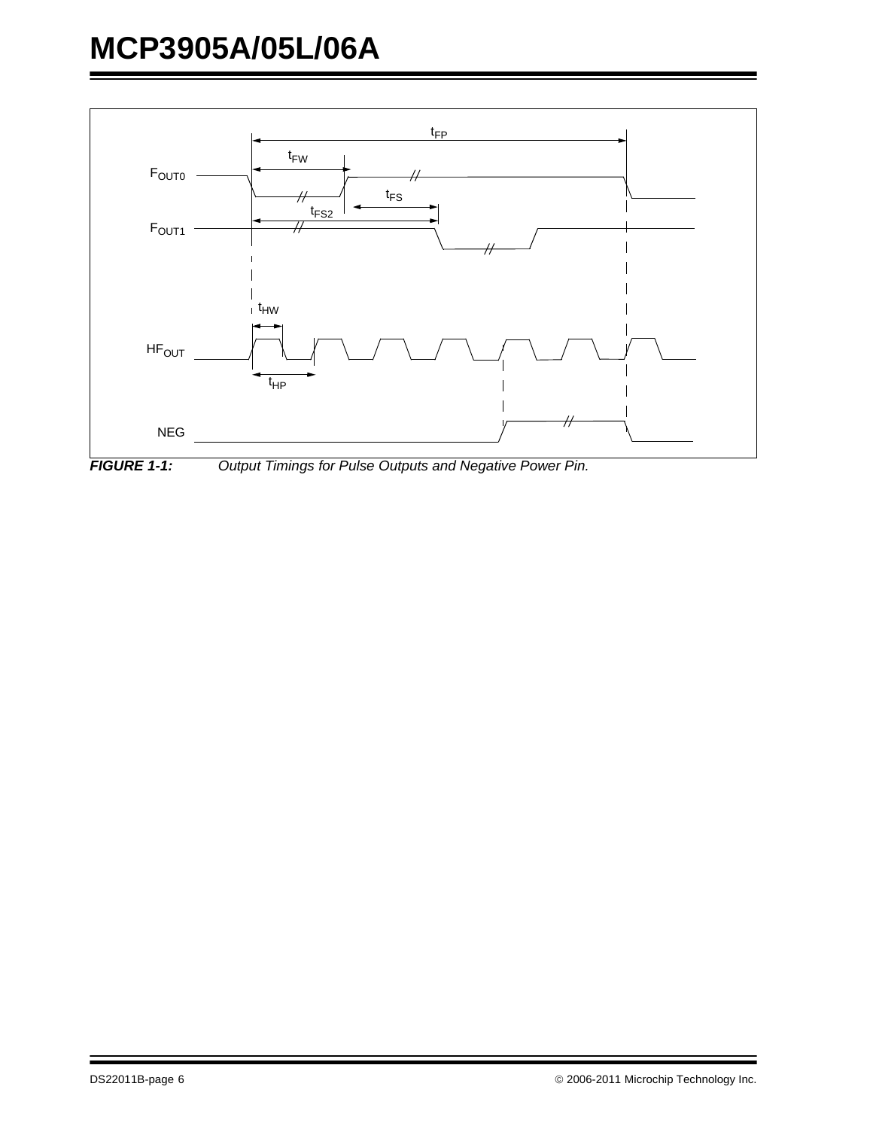

<span id="page-5-0"></span>*FIGURE 1-1: Output Timings for Pulse Outputs and Negative Power Pin.*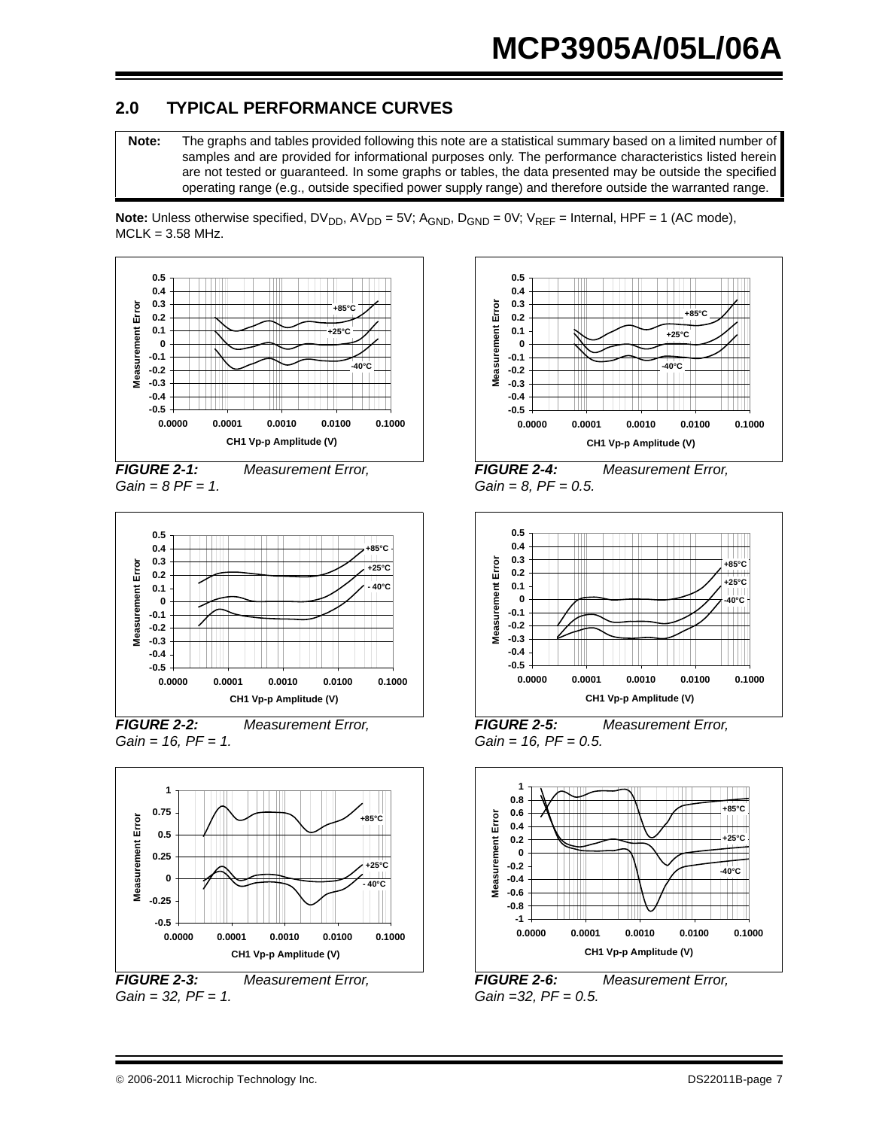### <span id="page-6-0"></span>**2.0 TYPICAL PERFORMANCE CURVES**

**Note:** The graphs and tables provided following this note are a statistical summary based on a limited number of samples and are provided for informational purposes only. The performance characteristics listed herein are not tested or guaranteed. In some graphs or tables, the data presented may be outside the specified operating range (e.g., outside specified power supply range) and therefore outside the warranted range.



*FIGURE 2-1: Measurement Error, Gain = 8 PF = 1.*



*FIGURE 2-2: Measurement Error, Gain = 16, PF = 1.*



*FIGURE 2-3: Measurement Error, Gain = 32, PF = 1.*



*FIGURE 2-4: Measurement Error, Gain = 8, PF = 0.5.*



*FIGURE 2-5: Measurement Error, Gain = 16, PF = 0.5.*



*FIGURE 2-6: Measurement Error, Gain =32, PF = 0.5.*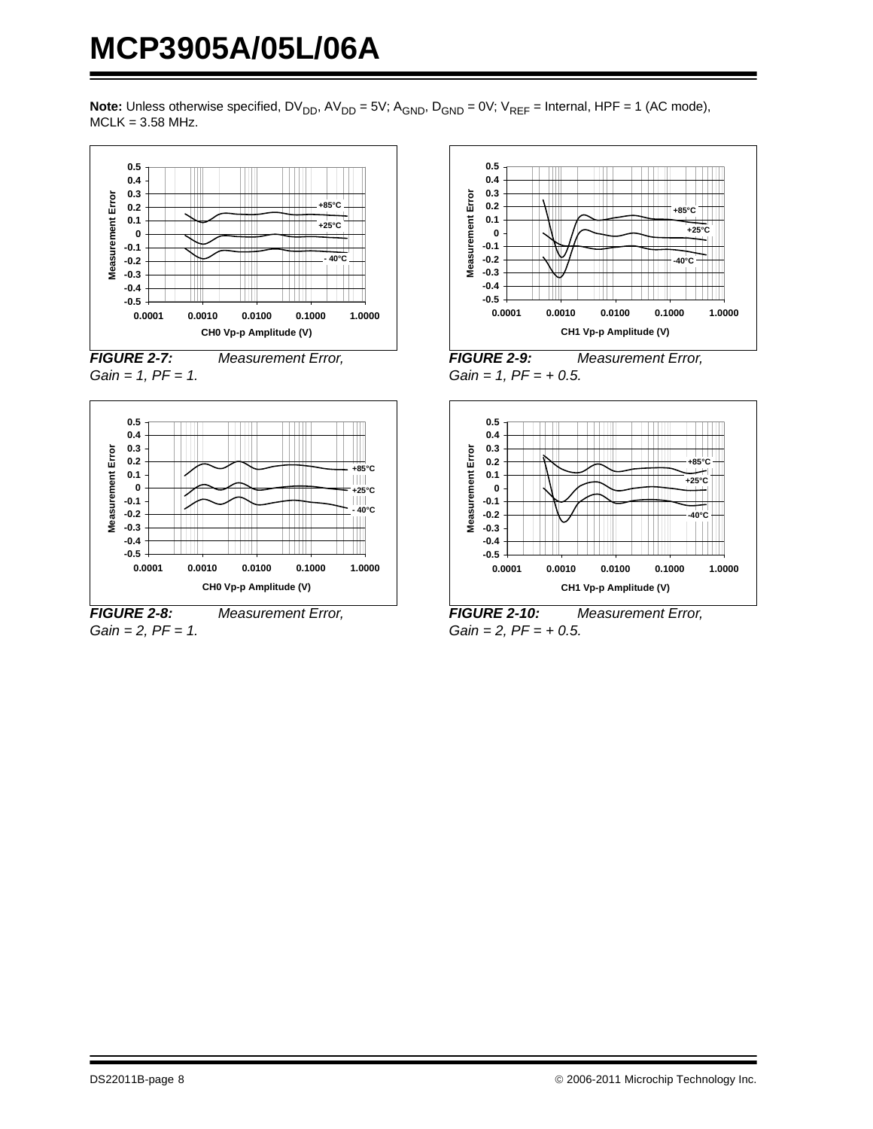





*FIGURE 2-8: Measurement Error, Gain = 2, PF = 1.*



*FIGURE 2-9: Measurement Error, Gain = 1, PF = + 0.5.*



*FIGURE 2-10: Measurement Error, Gain = 2, PF = + 0.5.*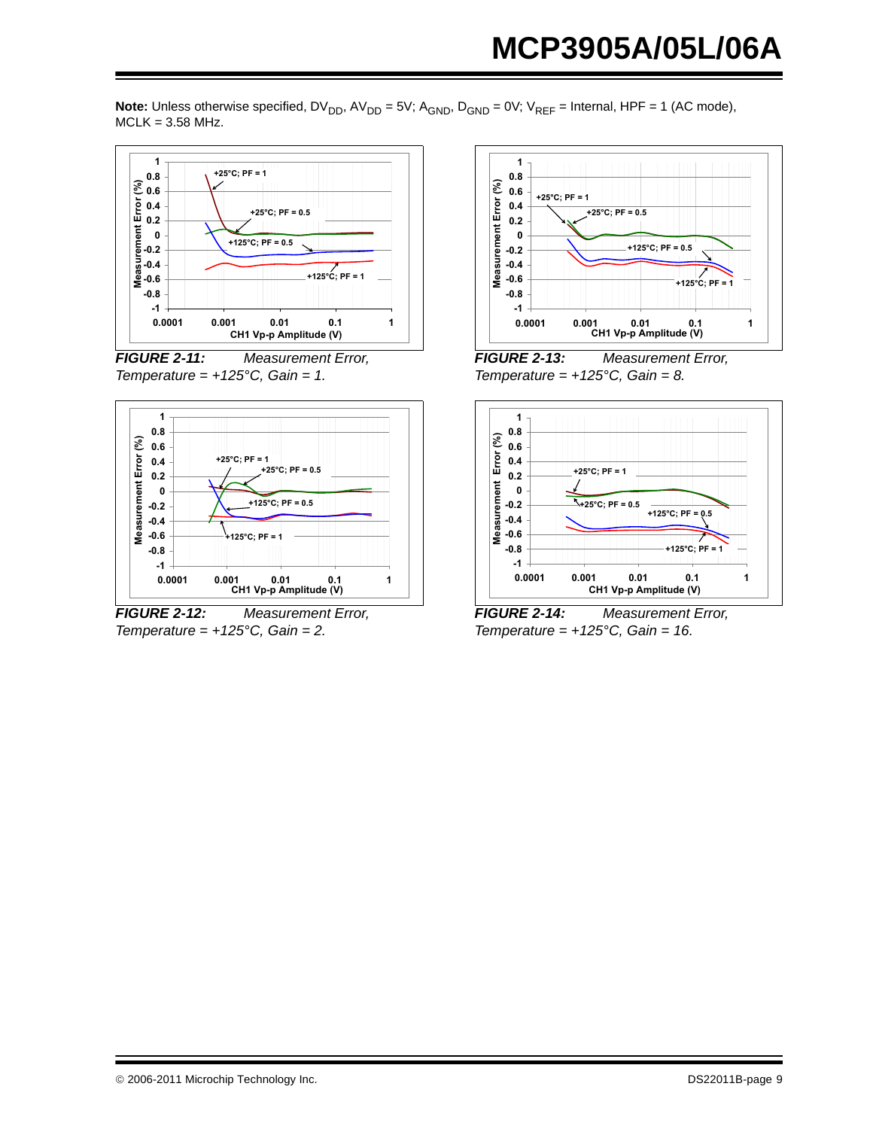

<span id="page-8-0"></span>*FIGURE 2-11: Measurement Error, Temperature = +125°C, Gain = 1.*



*FIGURE 2-12: Measurement Error, Temperature = +125°C, Gain = 2.*



*FIGURE 2-13: Measurement Error, Temperature =*  $+125^{\circ}$ *C, Gain = 8.* 



<span id="page-8-1"></span>*FIGURE 2-14: Measurement Error, Temperature = +125°C, Gain = 16.*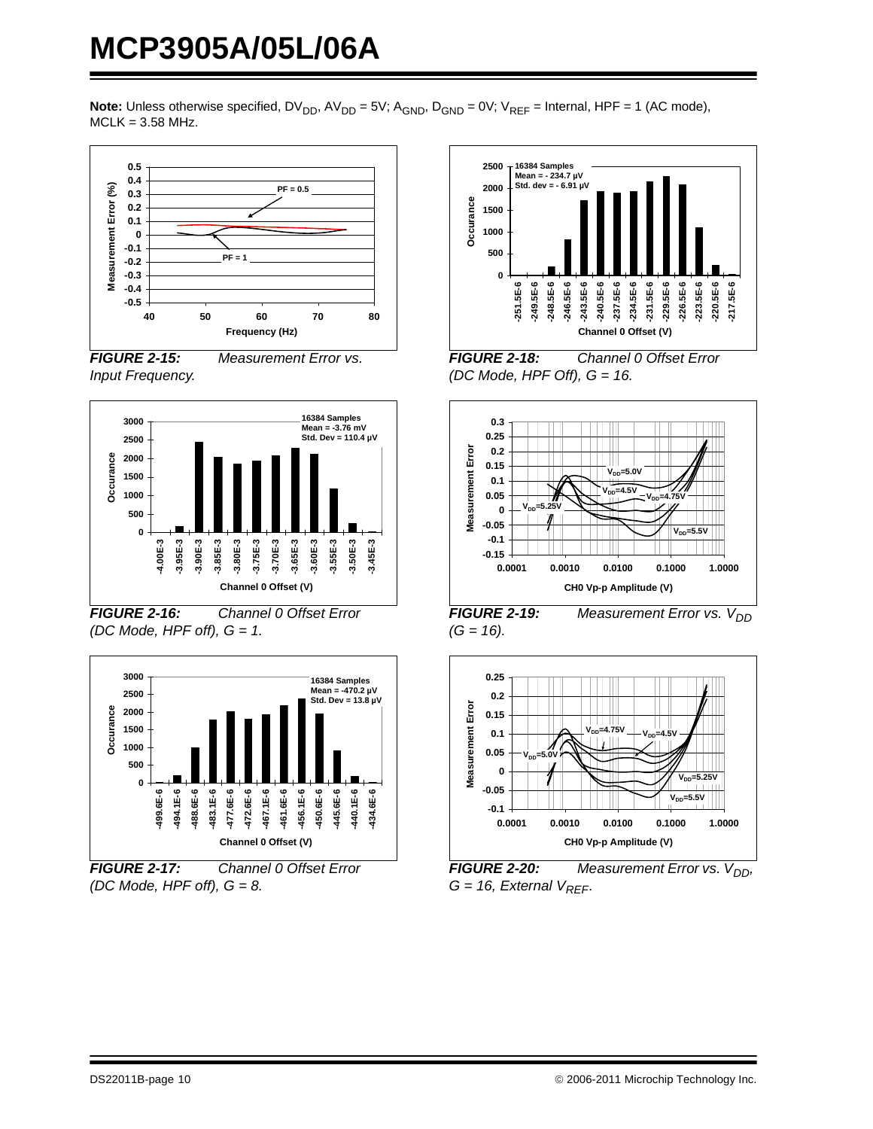





*FIGURE 2-16: Channel 0 Offset Error (DC Mode, HPF off), G = 1.*



*FIGURE 2-17: Channel 0 Offset Error (DC Mode, HPF off), G = 8.*



*FIGURE 2-18: Channel 0 Offset Error (DC Mode, HPF Off), G = 16.*



*FIGURE 2-19:* Measurement Error vs. V<sub>DD</sub> *(G = 16).*



**FIGURE 2-20:** Measurement Error vs. V<sub>DD</sub>,  $G = 16$ , External  $V_{REF}$ .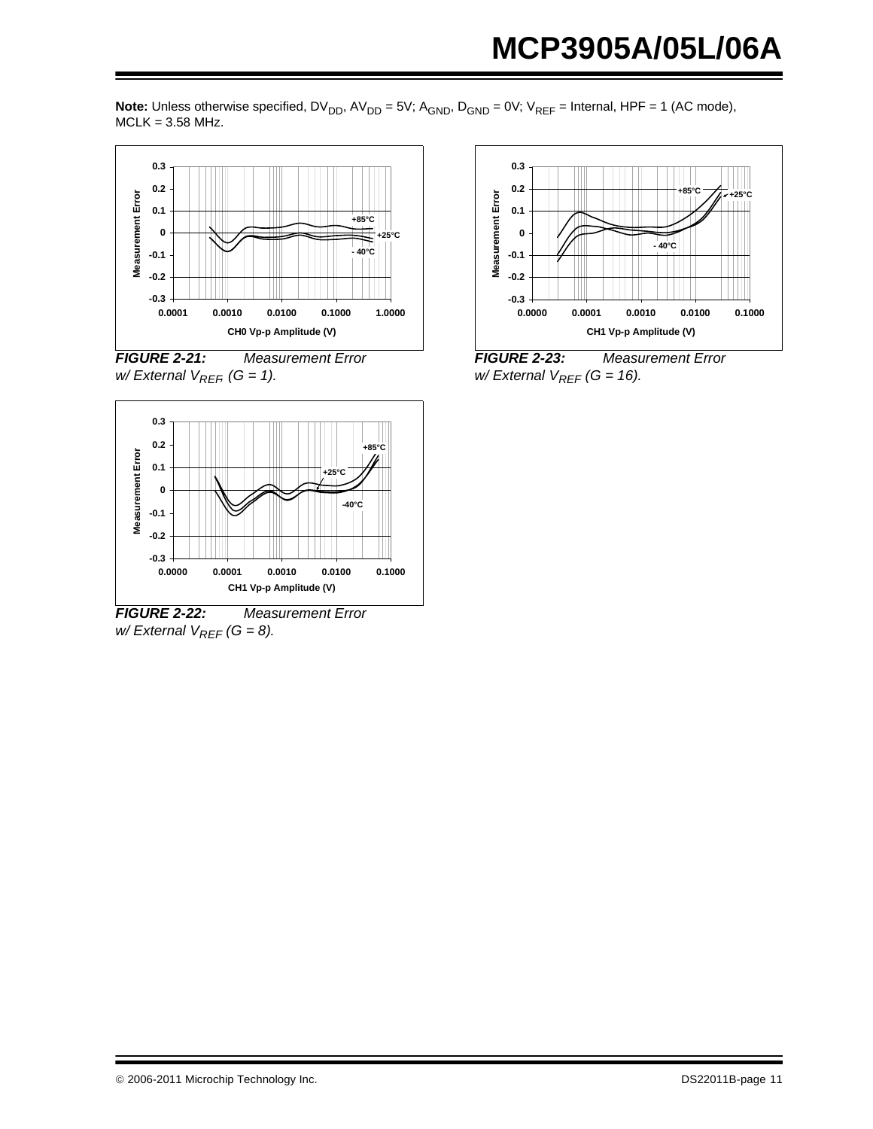





*FIGURE 2-22: Measurement Error w/ External V<sub>REF</sub> (G = 8).* 



*FIGURE 2-23: Measurement Error*   $w$ / External  $V_{REF}$  (G = 16).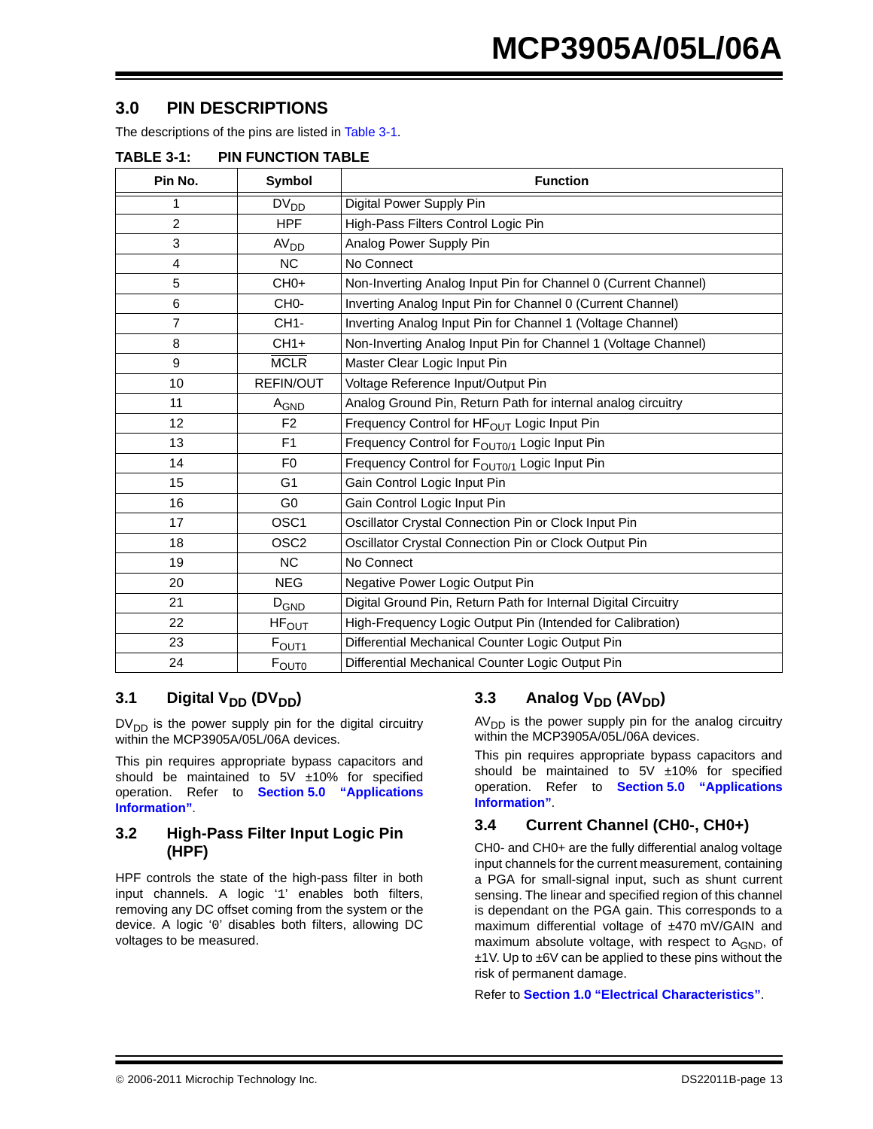#### **3.0 PIN DESCRIPTIONS**

The descriptions of the pins are listed in [Table 3-1.](#page-12-0)

| Pin No.        | Symbol            | <b>Function</b>                                                |
|----------------|-------------------|----------------------------------------------------------------|
| 1              | $DV_{DD}$         | Digital Power Supply Pin                                       |
| $\overline{2}$ | <b>HPF</b>        | High-Pass Filters Control Logic Pin                            |
| 3              | AV <sub>DD</sub>  | Analog Power Supply Pin                                        |
| $\overline{4}$ | <b>NC</b>         | No Connect                                                     |
| 5              | $CHO+$            | Non-Inverting Analog Input Pin for Channel 0 (Current Channel) |
| 6              | CH <sub>0</sub> - | Inverting Analog Input Pin for Channel 0 (Current Channel)     |
| $\overline{7}$ | CH <sub>1</sub> - | Inverting Analog Input Pin for Channel 1 (Voltage Channel)     |
| 8              | $CH1+$            | Non-Inverting Analog Input Pin for Channel 1 (Voltage Channel) |
| 9              | <b>MCLR</b>       | Master Clear Logic Input Pin                                   |
| 10             | REFIN/OUT         | Voltage Reference Input/Output Pin                             |
| 11             | A <sub>GND</sub>  | Analog Ground Pin, Return Path for internal analog circuitry   |
| 12             | F2                | Frequency Control for HF <sub>OUT</sub> Logic Input Pin        |
| 13             | F1                | Frequency Control for F <sub>OUT0/1</sub> Logic Input Pin      |
| 14             | F <sub>0</sub>    | Frequency Control for F <sub>OUT0/1</sub> Logic Input Pin      |
| 15             | G <sub>1</sub>    | Gain Control Logic Input Pin                                   |
| 16             | G <sub>0</sub>    | Gain Control Logic Input Pin                                   |
| 17             | OSC <sub>1</sub>  | Oscillator Crystal Connection Pin or Clock Input Pin           |
| 18             | OSC <sub>2</sub>  | Oscillator Crystal Connection Pin or Clock Output Pin          |
| 19             | <b>NC</b>         | No Connect                                                     |
| 20             | <b>NEG</b>        | Negative Power Logic Output Pin                                |
| 21             | $D_{GND}$         | Digital Ground Pin, Return Path for Internal Digital Circuitry |
| 22             | $HF_{OUT}$        | High-Frequency Logic Output Pin (Intended for Calibration)     |
| 23             | F <sub>OUT1</sub> | Differential Mechanical Counter Logic Output Pin               |
| 24             | F <sub>ouro</sub> | Differential Mechanical Counter Logic Output Pin               |

#### <span id="page-12-0"></span>**TABLE 3-1: PIN FUNCTION TABLE**

#### **3.1** Digital V<sub>DD</sub> (DV<sub>DD</sub>)

 $DV<sub>DD</sub>$  is the power supply pin for the digital circuitry within the MCP3905A/05L/06A devices.

This pin requires appropriate bypass capacitors and should be maintained to 5V ±10% for specified operation. Refer to **[Section 5.0 "Applications](#page-20-0) [Information"](#page-20-0)**.

#### <span id="page-12-1"></span>**3.2 High-Pass Filter Input Logic Pin (HPF)**

HPF controls the state of the high-pass filter in both input channels. A logic '1' enables both filters, removing any DC offset coming from the system or the device. A logic '0' disables both filters, allowing DC voltages to be measured.

#### **3.3** Analog V<sub>DD</sub> (AV<sub>DD</sub>)

 $AV<sub>DD</sub>$  is the power supply pin for the analog circuitry within the MCP3905A/05L/06A devices.

This pin requires appropriate bypass capacitors and should be maintained to  $5V \pm 10\%$  for specified operation. Refer to **[Section 5.0 "Applications](#page-20-0) [Information"](#page-20-0)**.

#### **3.4 Current Channel (CH0-, CH0+)**

CH0- and CH0+ are the fully differential analog voltage input channels for the current measurement, containing a PGA for small-signal input, such as shunt current sensing. The linear and specified region of this channel is dependant on the PGA gain. This corresponds to a maximum differential voltage of ±470 mV/GAIN and maximum absolute voltage, with respect to  $A_{GND}$ , of ±1V. Up to ±6V can be applied to these pins without the risk of permanent damage.

Refer to **[Section 1.0 "Electrical Characteristics"](#page-2-7)**.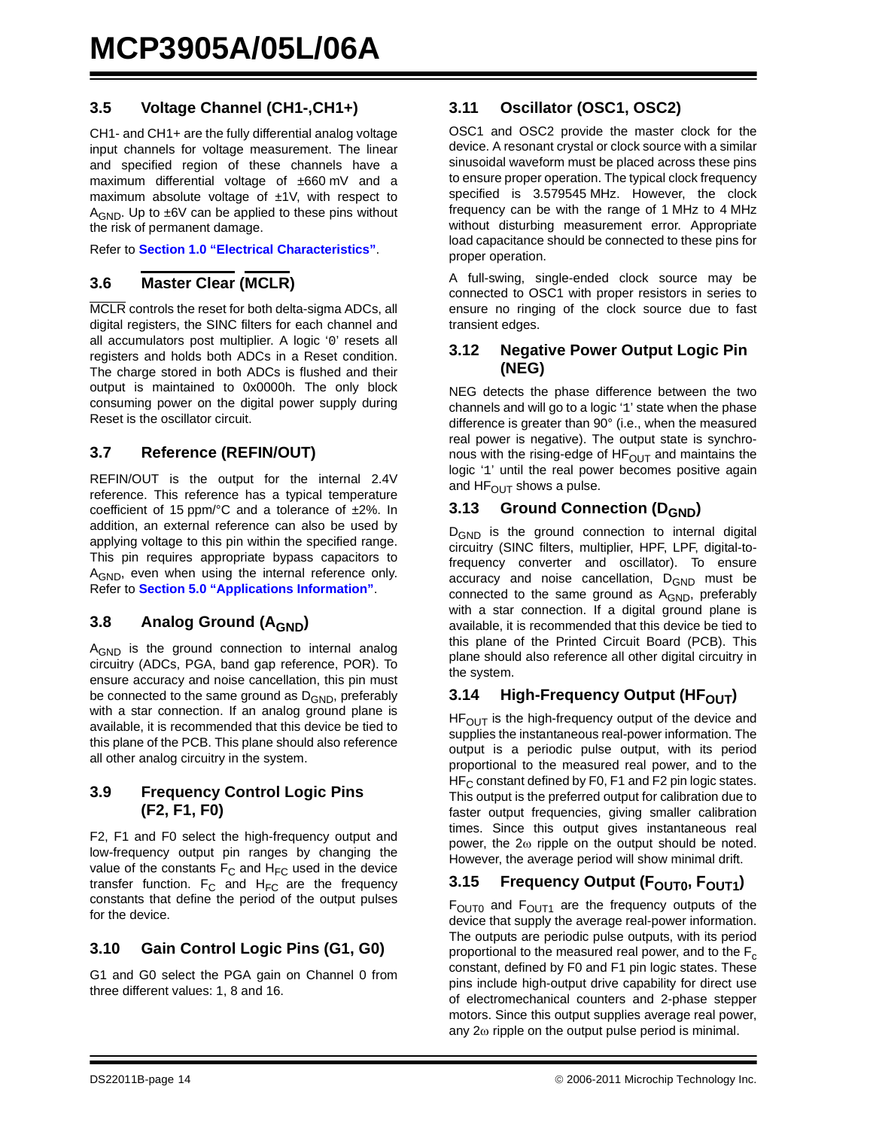#### **3.5 Voltage Channel (CH1-,CH1+)**

CH1- and CH1+ are the fully differential analog voltage input channels for voltage measurement. The linear and specified region of these channels have a maximum differential voltage of ±660 mV and a maximum absolute voltage of  $±1V$ , with respect to  $A_{GND}$ . Up to  $\pm 6V$  can be applied to these pins without the risk of permanent damage.

Refer to **[Section 1.0 "Electrical Characteristics"](#page-2-7)**.

#### **3.6 Master Clear (MCLR)**

MCLR controls the reset for both delta-sigma ADCs, all digital registers, the SINC filters for each channel and all accumulators post multiplier. A logic '0' resets all registers and holds both ADCs in a Reset condition. The charge stored in both ADCs is flushed and their output is maintained to 0x0000h. The only block consuming power on the digital power supply during Reset is the oscillator circuit.

#### **3.7 Reference (REFIN/OUT)**

REFIN/OUT is the output for the internal 2.4V reference. This reference has a typical temperature coefficient of 15 ppm/°C and a tolerance of ±2%. In addition, an external reference can also be used by applying voltage to this pin within the specified range. This pin requires appropriate bypass capacitors to A<sub>GND</sub>, even when using the internal reference only. Refer to **[Section 5.0 "Applications Information"](#page-20-0)**.

#### **3.8** Analog Ground (A<sub>GND</sub>)

A<sub>GND</sub> is the ground connection to internal analog circuitry (ADCs, PGA, band gap reference, POR). To ensure accuracy and noise cancellation, this pin must be connected to the same ground as D<sub>GND</sub>, preferably with a star connection. If an analog ground plane is available, it is recommended that this device be tied to this plane of the PCB. This plane should also reference all other analog circuitry in the system.

#### **3.9 Frequency Control Logic Pins (F2, F1, F0)**

F2, F1 and F0 select the high-frequency output and low-frequency output pin ranges by changing the value of the constants  $F_C$  and  $H_{FC}$  used in the device transfer function.  $F_C$  and  $H_{FC}$  are the frequency constants that define the period of the output pulses for the device.

#### **3.10 Gain Control Logic Pins (G1, G0)**

G1 and G0 select the PGA gain on Channel 0 from three different values: 1, 8 and 16.

#### **3.11 Oscillator (OSC1, OSC2)**

OSC1 and OSC2 provide the master clock for the device. A resonant crystal or clock source with a similar sinusoidal waveform must be placed across these pins to ensure proper operation. The typical clock frequency specified is 3.579545 MHz. However, the clock frequency can be with the range of 1 MHz to 4 MHz without disturbing measurement error. Appropriate load capacitance should be connected to these pins for proper operation.

A full-swing, single-ended clock source may be connected to OSC1 with proper resistors in series to ensure no ringing of the clock source due to fast transient edges.

#### **3.12 Negative Power Output Logic Pin (NEG)**

NEG detects the phase difference between the two channels and will go to a logic '1' state when the phase difference is greater than 90° (i.e., when the measured real power is negative). The output state is synchronous with the rising-edge of  $HF<sub>OUT</sub>$  and maintains the logic '1' until the real power becomes positive again and  $HF<sub>OUT</sub>$  shows a pulse.

#### **3.13 Ground Connection (D<sub>GND</sub>)**

D<sub>GND</sub> is the ground connection to internal digital circuitry (SINC filters, multiplier, HPF, LPF, digital-tofrequency converter and oscillator). To ensure accuracy and noise cancellation,  $D_{GND}$  must be connected to the same ground as A<sub>GND</sub>, preferably with a star connection. If a digital ground plane is available, it is recommended that this device be tied to this plane of the Printed Circuit Board (PCB). This plane should also reference all other digital circuitry in the system.

#### **3.14 High-Frequency Output (HF<sub>OUT</sub>)**

 $HF<sub>OUT</sub>$  is the high-frequency output of the device and supplies the instantaneous real-power information. The output is a periodic pulse output, with its period proportional to the measured real power, and to the  $HF<sub>C</sub>$  constant defined by F0, F1 and F2 pin logic states. This output is the preferred output for calibration due to faster output frequencies, giving smaller calibration times. Since this output gives instantaneous real power, the 2ω ripple on the output should be noted. However, the average period will show minimal drift.

#### 3.15 Frequency Output (F<sub>OUT0</sub>, F<sub>OUT1</sub>)

 $F<sub>OUT0</sub>$  and  $F<sub>OUT1</sub>$  are the frequency outputs of the device that supply the average real-power information. The outputs are periodic pulse outputs, with its period proportional to the measured real power, and to the  $F_c$ constant, defined by F0 and F1 pin logic states. These pins include high-output drive capability for direct use of electromechanical counters and 2-phase stepper motors. Since this output supplies average real power, any  $2\omega$  ripple on the output pulse period is minimal.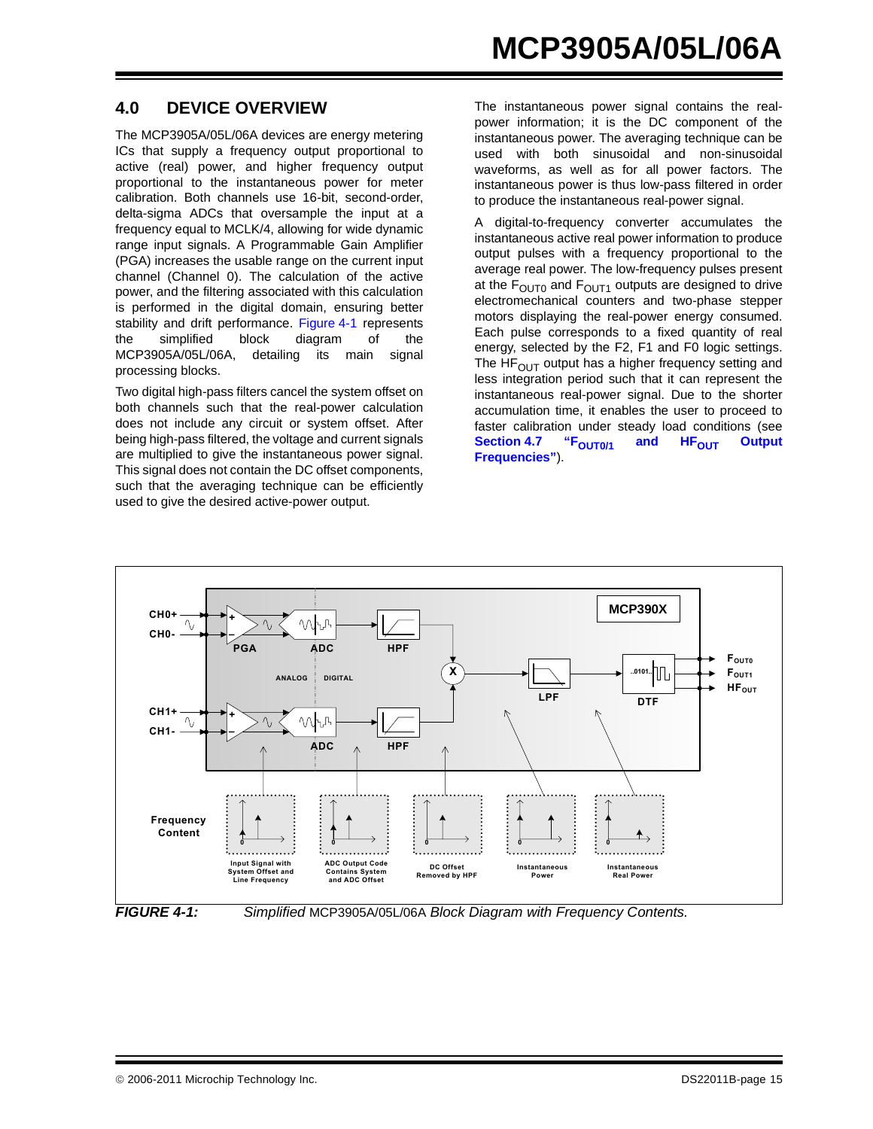#### <span id="page-14-0"></span>**4.0 DEVICE OVERVIEW**

The MCP3905A/05L/06A devices are energy metering ICs that supply a frequency output proportional to active (real) power, and higher frequency output proportional to the instantaneous power for meter calibration. Both channels use 16-bit, second-order, delta-sigma ADCs that oversample the input at a frequency equal to MCLK/4, allowing for wide dynamic range input signals. A Programmable Gain Amplifier (PGA) increases the usable range on the current input channel (Channel 0). The calculation of the active power, and the filtering associated with this calculation is performed in the digital domain, ensuring better stability and drift performance. [Figure 4-1](#page-14-1) represents the simplified block diagram of the MCP3905A/05L/06A, detailing its main signal processing blocks.

Two digital high-pass filters cancel the system offset on both channels such that the real-power calculation does not include any circuit or system offset. After being high-pass filtered, the voltage and current signals are multiplied to give the instantaneous power signal. This signal does not contain the DC offset components, such that the averaging technique can be efficiently used to give the desired active-power output.

The instantaneous power signal contains the realpower information; it is the DC component of the instantaneous power. The averaging technique can be used with both sinusoidal and non-sinusoidal waveforms, as well as for all power factors. The instantaneous power is thus low-pass filtered in order to produce the instantaneous real-power signal.

A digital-to-frequency converter accumulates the instantaneous active real power information to produce output pulses with a frequency proportional to the average real power. The low-frequency pulses present at the  $F<sub>OUT0</sub>$  and  $F<sub>OUT1</sub>$  outputs are designed to drive electromechanical counters and two-phase stepper motors displaying the real-power energy consumed. Each pulse corresponds to a fixed quantity of real energy, selected by the F2, F1 and F0 logic settings. The HF $_{\text{OUT}}$  output has a higher frequency setting and less integration period such that it can represent the instantaneous real-power signal. Due to the shorter accumulation time, it enables the user to proceed to faster calibration under steady load conditions (see Section 4.7 "F<sub>OUT0/1</sub> and HF<sub>OUT</sub> Output **[Frequencies"](#page-17-1)**).



<span id="page-14-1"></span>

*FIGURE 4-1: Simplified* MCP3905A/05L/06A *Block Diagram with Frequency Contents.*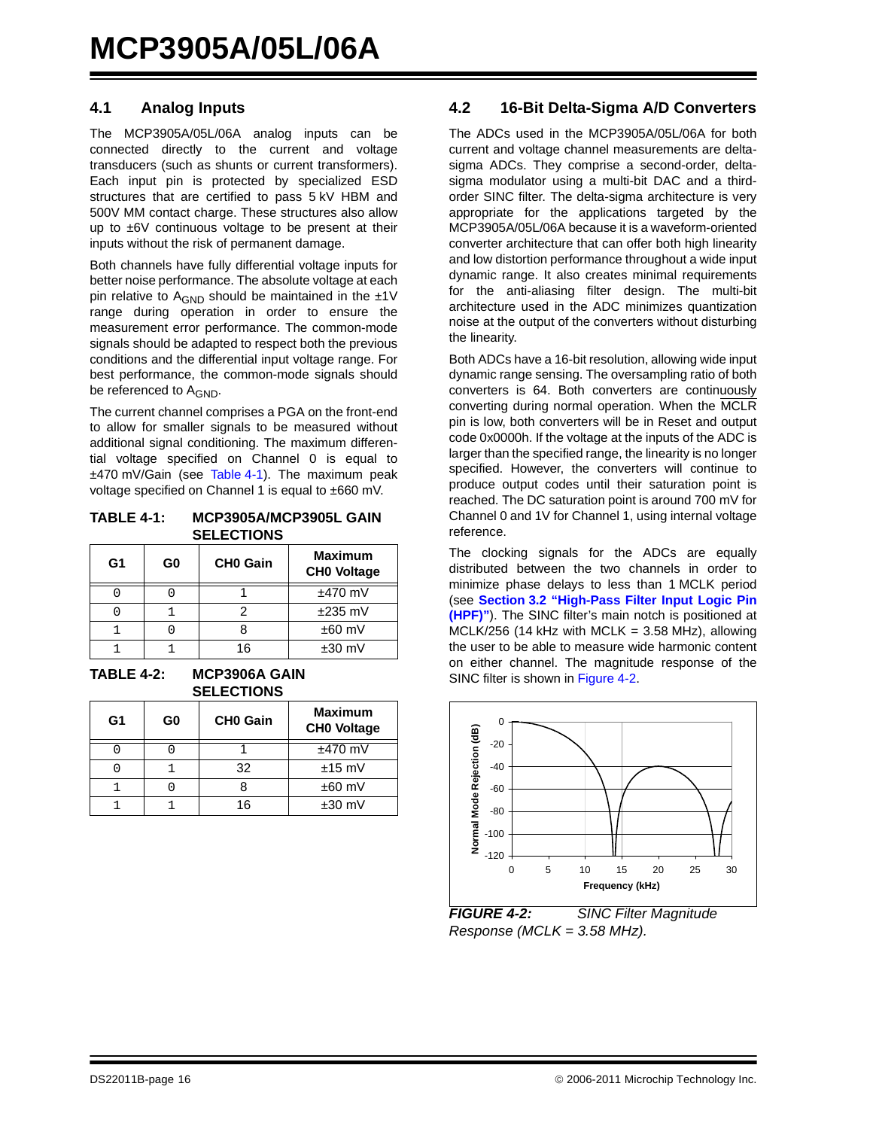#### **4.1 Analog Inputs**

The MCP3905A/05L/06A analog inputs can be connected directly to the current and voltage transducers (such as shunts or current transformers). Each input pin is protected by specialized ESD structures that are certified to pass 5 kV HBM and 500V MM contact charge. These structures also allow up to ±6V continuous voltage to be present at their inputs without the risk of permanent damage.

Both channels have fully differential voltage inputs for better noise performance. The absolute voltage at each pin relative to  $A_{GND}$  should be maintained in the  $±1V$ range during operation in order to ensure the measurement error performance. The common-mode signals should be adapted to respect both the previous conditions and the differential input voltage range. For best performance, the common-mode signals should be referenced to A<sub>GND</sub>.

The current channel comprises a PGA on the front-end to allow for smaller signals to be measured without additional signal conditioning. The maximum differential voltage specified on Channel 0 is equal to ±470 mV/Gain (see [Table 4-1\)](#page-15-0). The maximum peak voltage specified on Channel 1 is equal to ±660 mV.

#### <span id="page-15-0"></span>**TABLE 4-1: MCP3905A/MCP3905L GAIN SELECTIONS**

| G <sub>1</sub> | G <sub>0</sub> | <b>CHO Gain</b> | <b>Maximum</b><br><b>CHO Voltage</b> |
|----------------|----------------|-----------------|--------------------------------------|
|                |                |                 | $±470$ mV                            |
|                |                |                 | $±235$ mV                            |
|                |                |                 | $±60$ mV                             |
|                |                | 16              | $±30$ mV                             |

**TABLE 4-2: MCP3906A GAIN SELECTIONS**

| G1 | G0 | <b>CHO Gain</b> | <b>Maximum</b><br><b>CHO Voltage</b> |
|----|----|-----------------|--------------------------------------|
|    |    |                 | $±470$ mV                            |
|    |    | 32              | $±15$ mV                             |
|    |    |                 | $±60$ mV                             |
|    |    | 16              | $±30$ mV                             |

#### **4.2 16-Bit Delta-Sigma A/D Converters**

The ADCs used in the MCP3905A/05L/06A for both current and voltage channel measurements are deltasigma ADCs. They comprise a second-order, deltasigma modulator using a multi-bit DAC and a thirdorder SINC filter. The delta-sigma architecture is very appropriate for the applications targeted by the MCP3905A/05L/06A because it is a waveform-oriented converter architecture that can offer both high linearity and low distortion performance throughout a wide input dynamic range. It also creates minimal requirements for the anti-aliasing filter design. The multi-bit architecture used in the ADC minimizes quantization noise at the output of the converters without disturbing the linearity.

Both ADCs have a 16-bit resolution, allowing wide input dynamic range sensing. The oversampling ratio of both converters is 64. Both converters are continuously converting during normal operation. When the MCLR pin is low, both converters will be in Reset and output code 0x0000h. If the voltage at the inputs of the ADC is larger than the specified range, the linearity is no longer specified. However, the converters will continue to produce output codes until their saturation point is reached. The DC saturation point is around 700 mV for Channel 0 and 1V for Channel 1, using internal voltage reference.

The clocking signals for the ADCs are equally distributed between the two channels in order to minimize phase delays to less than 1 MCLK period (see **[Section 3.2 "High-Pass Filter Input Logic Pin](#page-12-1) [\(HPF\)"](#page-12-1)**). The SINC filter's main notch is positioned at MCLK/256 (14 kHz with MCLK =  $3.58$  MHz), allowing the user to be able to measure wide harmonic content on either channel. The magnitude response of the SINC filter is shown in [Figure 4-2](#page-15-1).



<span id="page-15-1"></span>*FIGURE 4-2: SINC Filter Magnitude Response (MCLK = 3.58 MHz).*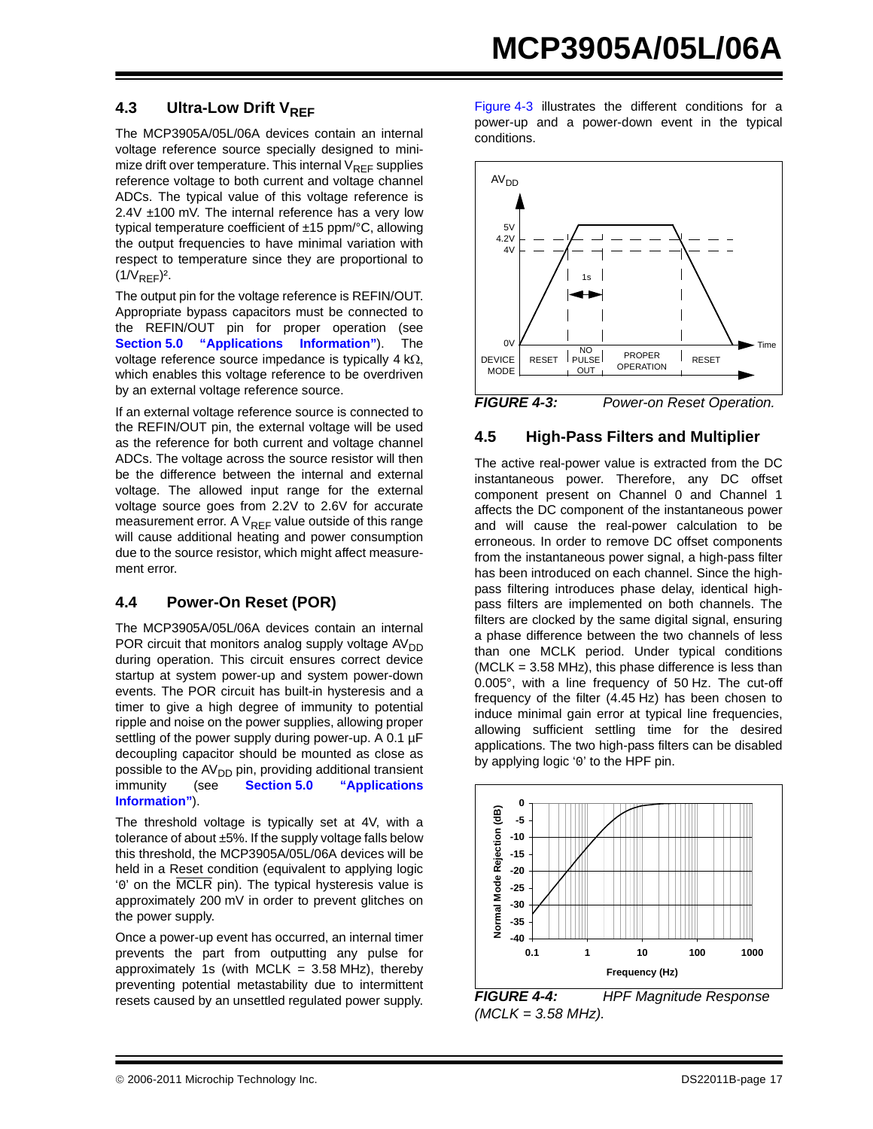#### **4.3** Ultra-Low Drift V<sub>RFF</sub>

The MCP3905A/05L/06A devices contain an internal voltage reference source specially designed to minimize drift over temperature. This internal  $V_{REF}$  supplies reference voltage to both current and voltage channel ADCs. The typical value of this voltage reference is 2.4V ±100 mV. The internal reference has a very low typical temperature coefficient of ±15 ppm/°C, allowing the output frequencies to have minimal variation with respect to temperature since they are proportional to  $(1/V_{REF})^2$ .

The output pin for the voltage reference is REFIN/OUT. Appropriate bypass capacitors must be connected to the REFIN/OUT pin for proper operation (see **[Section 5.0 "Applications Information"](#page-20-0)**). The voltage reference source impedance is typically 4 kΩ, which enables this voltage reference to be overdriven by an external voltage reference source.

If an external voltage reference source is connected to the REFIN/OUT pin, the external voltage will be used as the reference for both current and voltage channel ADCs. The voltage across the source resistor will then be the difference between the internal and external voltage. The allowed input range for the external voltage source goes from 2.2V to 2.6V for accurate measurement error. A  $V_{RFF}$  value outside of this range will cause additional heating and power consumption due to the source resistor, which might affect measurement error.

#### **4.4 Power-On Reset (POR)**

The MCP3905A/05L/06A devices contain an internal POR circuit that monitors analog supply voltage  $AV<sub>DD</sub>$ during operation. This circuit ensures correct device startup at system power-up and system power-down events. The POR circuit has built-in hysteresis and a timer to give a high degree of immunity to potential ripple and noise on the power supplies, allowing proper settling of the power supply during power-up. A 0.1 µF decoupling capacitor should be mounted as close as possible to the AV<sub>DD</sub> pin, providing additional transient<br>immunity (see **Section 5.0** "Applications") (see **[Section 5.0 "Applications](#page-20-0) [Information"](#page-20-0)**).

The threshold voltage is typically set at 4V, with a tolerance of about ±5%. If the supply voltage falls below this threshold, the MCP3905A/05L/06A devices will be held in a Reset condition (equivalent to applying logic '0' on the MCLR pin). The typical hysteresis value is approximately 200 mV in order to prevent glitches on the power supply.

Once a power-up event has occurred, an internal timer prevents the part from outputting any pulse for approximately 1s (with MCLK =  $3.58$  MHz), thereby preventing potential metastability due to intermittent resets caused by an unsettled regulated power supply.

[Figure 4-3](#page-16-0) illustrates the different conditions for a power-up and a power-down event in the typical conditions.



#### <span id="page-16-0"></span>**4.5 High-Pass Filters and Multiplier**

The active real-power value is extracted from the DC instantaneous power. Therefore, any DC offset component present on Channel 0 and Channel 1 affects the DC component of the instantaneous power and will cause the real-power calculation to be erroneous. In order to remove DC offset components from the instantaneous power signal, a high-pass filter has been introduced on each channel. Since the highpass filtering introduces phase delay, identical highpass filters are implemented on both channels. The filters are clocked by the same digital signal, ensuring a phase difference between the two channels of less than one MCLK period. Under typical conditions  $(MCLK = 3.58 MHz)$ , this phase difference is less than 0.005°, with a line frequency of 50 Hz. The cut-off frequency of the filter (4.45 Hz) has been chosen to induce minimal gain error at typical line frequencies, allowing sufficient settling time for the desired applications. The two high-pass filters can be disabled by applying logic '0' to the HPF pin.



*FIGURE 4-4: HPF Magnitude Response (MCLK = 3.58 MHz).*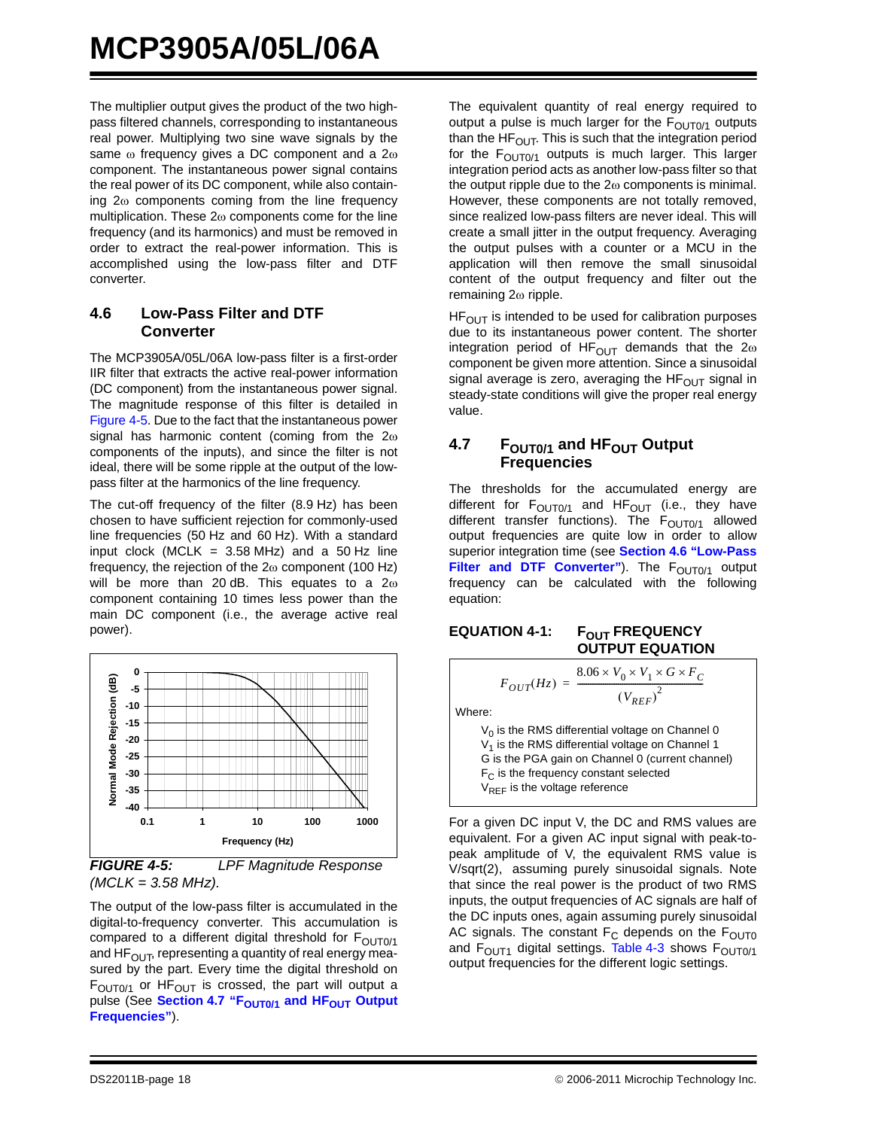The multiplier output gives the product of the two highpass filtered channels, corresponding to instantaneous real power. Multiplying two sine wave signals by the same ω frequency gives a DC component and a 2ω component. The instantaneous power signal contains the real power of its DC component, while also containing 2ω components coming from the line frequency multiplication. These 2ω components come for the line frequency (and its harmonics) and must be removed in order to extract the real-power information. This is accomplished using the low-pass filter and DTF converter.

#### <span id="page-17-3"></span>**4.6 Low-Pass Filter and DTF Converter**

The MCP3905A/05L/06A low-pass filter is a first-order IIR filter that extracts the active real-power information (DC component) from the instantaneous power signal. The magnitude response of this filter is detailed in [Figure 4-5](#page-17-2). Due to the fact that the instantaneous power signal has harmonic content (coming from the  $2\omega$ components of the inputs), and since the filter is not ideal, there will be some ripple at the output of the lowpass filter at the harmonics of the line frequency.

The cut-off frequency of the filter (8.9 Hz) has been chosen to have sufficient rejection for commonly-used line frequencies (50 Hz and 60 Hz). With a standard input clock (MCLK =  $3.58$  MHz) and a  $50$  Hz line frequency, the rejection of the  $2\omega$  component (100 Hz) will be more than 20 dB. This equates to a 2ω component containing 10 times less power than the main DC component (i.e., the average active real power).



<span id="page-17-2"></span>*FIGURE 4-5: LPF Magnitude Response (MCLK = 3.58 MHz).*

The output of the low-pass filter is accumulated in the digital-to-frequency converter. This accumulation is compared to a different digital threshold for  $F<sub>OUT0/1</sub>$ and HF $_{\text{OUT}}$ , representing a quantity of real energy measured by the part. Every time the digital threshold on  $F<sub>OUT0/1</sub>$  or H $F<sub>OUT</sub>$  is crossed, the part will output a pulse (See Section 4.7 "F<sub>OUT0/1</sub> and HF<sub>OUT</sub> Output **[Frequencies"](#page-17-1)**).

The equivalent quantity of real energy required to output a pulse is much larger for the  $F<sub>OUT0/1</sub>$  outputs than the HF $_{\text{OUT}}$ . This is such that the integration period for the  $F<sub>OUT0/1</sub>$  outputs is much larger. This larger integration period acts as another low-pass filter so that the output ripple due to the  $2\omega$  components is minimal. However, these components are not totally removed, since realized low-pass filters are never ideal. This will create a small jitter in the output frequency. Averaging the output pulses with a counter or a MCU in the application will then remove the small sinusoidal content of the output frequency and filter out the remaining 2ω ripple.

 $HF<sub>OUT</sub>$  is intended to be used for calibration purposes due to its instantaneous power content. The shorter integration period of HF<sub>OUT</sub> demands that the  $2\omega$ component be given more attention. Since a sinusoidal signal average is zero, averaging the  $HF_{\text{OUT}}$  signal in steady-state conditions will give the proper real energy value.

#### <span id="page-17-1"></span>**4.7** F<sub>OUT0/1</sub> and HF<sub>OUT</sub> Output **Frequencies**

The thresholds for the accumulated energy are different for  $F_{\text{OUT0/1}}$  and  $HF_{\text{OUT}}$  (i.e., they have different transfer functions). The  $F<sub>OUT0/1</sub>$  allowed output frequencies are quite low in order to allow superior integration time (see **[Section 4.6 "Low-Pass](#page-17-3)** [Filter and DTF Converter"](#page-17-3)). The F<sub>OUT0/1</sub> output frequency can be calculated with the following equation:

#### <span id="page-17-0"></span>**EQUATION 4-1: FOUT FREQUENCY OUTPUT EQUATION**

Where:

 $V_0$  is the RMS differential voltage on Channel 0  $V<sub>1</sub>$  is the RMS differential voltage on Channel 1 G is the PGA gain on Channel 0 (current channel)  $F<sub>C</sub>$  is the frequency constant selected  $V_{REF}$  is the voltage reference

 $F_{OUT}(Hz) = \frac{8.06 \times V_0 \times V_1 \times G \times F_C}{(V_{REF})^2}$ 

For a given DC input V, the DC and RMS values are equivalent. For a given AC input signal with peak-topeak amplitude of V, the equivalent RMS value is V/sqrt(2), assuming purely sinusoidal signals. Note that since the real power is the product of two RMS inputs, the output frequencies of AC signals are half of the DC inputs ones, again assuming purely sinusoidal AC signals. The constant  $F_C$  depends on the  $F<sub>OUT0</sub>$ and  $F<sub>OUT1</sub>$  digital settings. [Table 4-3](#page-18-1) shows  $F<sub>OUT0/1</sub>$ output frequencies for the different logic settings.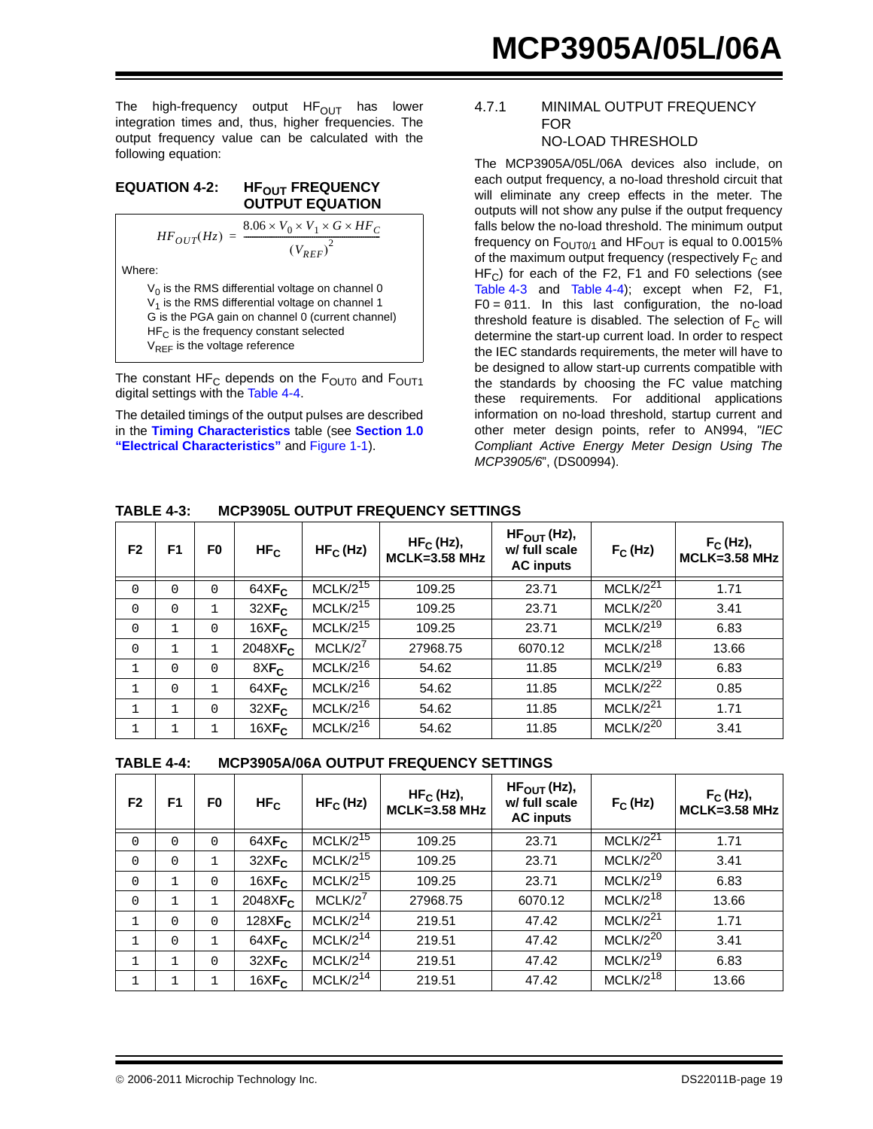The high-frequency output  $HF_{OUT}$  has lower integration times and, thus, higher frequencies. The output frequency value can be calculated with the following equation:

#### <span id="page-18-0"></span>**EQUATION 4-2: HF<sub>OUT</sub> FREQUENCY OUTPUT EQUATION**

$$
HF_{OUT}(Hz) = \frac{8.06 \times V_0 \times V_1 \times G \times HF_C}{(V_{REF})^2}
$$

Where:

 $V_0$  is the RMS differential voltage on channel 0  $V_1$  is the RMS differential voltage on channel 1 G is the PGA gain on channel 0 (current channel)  $HF_C$  is the frequency constant selected V<sub>REF</sub> is the voltage reference

The constant HF<sub>C</sub> depends on the  $F_{\text{OUT0}}$  and  $F_{\text{OUT1}}$ digital settings with the [Table 4-4.](#page-18-2)

The detailed timings of the output pulses are described in the **[Timing Characteristics](#page-4-3)** table (see **[Section 1.0](#page-2-7) ["Electrical Characteristics"](#page-2-7)** and [Figure 1-1](#page-5-0)).

#### 4.7.1 MINIMAL OUTPUT FREQUENCY FOR NO-LOAD THRESHOLD

The MCP3905A/05L/06A devices also include, on each output frequency, a no-load threshold circuit that will eliminate any creep effects in the meter. The outputs will not show any pulse if the output frequency falls below the no-load threshold. The minimum output frequency on  $F<sub>OUT0/1</sub>$  and  $HF<sub>OUT</sub>$  is equal to 0.0015% of the maximum output frequency (respectively  $F_C$  and  $HF_C$ ) for each of the F2, F1 and F0 selections (see [Table 4-3](#page-18-1) and [Table 4-4\)](#page-18-2); except when F2, F1,  $FO = 011$ . In this last configuration, the no-load threshold feature is disabled. The selection of  $F_C$  will determine the start-up current load. In order to respect the IEC standards requirements, the meter will have to be designed to allow start-up currents compatible with the standards by choosing the FC value matching these requirements. For additional applications information on no-load threshold, startup current and other meter design points, refer to AN994, *"IEC Compliant Active Energy Meter Design Using The MCP3905/6*", (DS00994).

<span id="page-18-1"></span>

| <b>TABLE 4-3:</b> |  | <b>MCP3905L OUTPUT FREQUENCY SETTINGS</b> |  |
|-------------------|--|-------------------------------------------|--|
|                   |  |                                           |  |

| F <sub>2</sub> | F <sub>1</sub> | F <sub>0</sub> | $HF_C$                      | $HF_C(Hz)$    | $HF_C$ (Hz),<br><b>MCLK=3.58 MHz</b> | $HF_{\text{OUT}}(Hz)$ ,<br>w/ full scale<br><b>AC</b> inputs | $F_C$ (Hz)           | $F_C$ (Hz),<br><b>MCLK=3.58 MHz</b> |
|----------------|----------------|----------------|-----------------------------|---------------|--------------------------------------|--------------------------------------------------------------|----------------------|-------------------------------------|
| $\Omega$       | $\Omega$       | $\Omega$       | $64X$ F <sub>c</sub>        | $MCLK/2^{15}$ | 109.25                               | 23.71                                                        | $MCLK/2^{21}$        | 1.71                                |
| $\Omega$       | $\Omega$       | $\mathbf{1}$   | 32XF <sub>c</sub>           | $MCLK/2^{15}$ | 109.25                               | 23.71                                                        | $MCLK/2^{20}$        | 3.41                                |
| $\mathbf 0$    |                | 0              | $16XF_C$                    | $MCLK/2^{15}$ | 109.25                               | 23.71                                                        | $MCLK/2^{19}$        | 6.83                                |
| $\Omega$       |                | $\mathbf{1}$   | $2048\times$ F <sub>C</sub> | $MCLK/2^7$    | 27968.75                             | 6070.12                                                      | $MCLK/2^{18}$        | 13.66                               |
| $\mathbf{1}$   | $\Omega$       | $\Omega$       | $8\times F_C$               | $MCLK/2^{16}$ | 54.62                                | 11.85                                                        | $MCLK/2^{19}$        | 6.83                                |
| $\mathbf{1}$   | $\Omega$       | $\mathbf{1}$   | $64XF_C$                    | $MCLK/2^{16}$ | 54.62                                | 11.85                                                        | MCLK/2 <sup>22</sup> | 0.85                                |
| $\mathbf{1}$   |                | $\Omega$       | $32\times F_C$              | $MCLK/2^{16}$ | 54.62                                | 11.85                                                        | MCLK/2 <sup>21</sup> | 1.71                                |
| 1              |                | 1              | $16XF_C$                    | $MCLK/2^{16}$ | 54.62                                | 11.85                                                        | $MCLK/2^{20}$        | 3.41                                |

<span id="page-18-2"></span>

|  | <b>TABLE 4-4:</b> | MCP3905A/06A OUTPUT FREQUENCY SETTINGS |
|--|-------------------|----------------------------------------|
|--|-------------------|----------------------------------------|

| F <sub>2</sub> | F <sub>1</sub> | F0           | HF <sub>C</sub>             | $HF_C(Hz)$           | $HF_C$ (Hz),<br><b>MCLK=3.58 MHz</b> | $HF_{\text{OUT}}(Hz)$ ,<br>w/ full scale<br><b>AC</b> inputs | $F_C$ (Hz)           | $F_C$ (Hz),<br>MCLK=3.58 MHz |
|----------------|----------------|--------------|-----------------------------|----------------------|--------------------------------------|--------------------------------------------------------------|----------------------|------------------------------|
| $\Omega$       | $\Omega$       | $\Omega$     | $64X$ $Fc$                  | $MCLK/2^{15}$        | 109.25                               | 23.71                                                        | $MCLK/2^{21}$        | 1.71                         |
| $\Omega$       | $\Omega$       | 1            | 32XF <sub>c</sub>           | $MCLK/2^{15}$        | 109.25                               | 23.71                                                        | $MCLK/2^{20}$        | 3.41                         |
| $\mathbf 0$    |                | $\Omega$     | $16XF_C$                    | $MCLK/2^{15}$        | 109.25                               | 23.71                                                        | $MCLK/2^{19}$        | 6.83                         |
| $\Omega$       | $\mathbf{1}$   | $\mathbf{1}$ | $2048\times$ F <sub>C</sub> | $MCLK/2^7$           | 27968.75                             | 6070.12                                                      | $MCLK/2^{18}$        | 13.66                        |
| $\mathbf{1}$   | $\Omega$       | $\Omega$     | $128XF_C$                   | MCLK/2 <sup>14</sup> | 219.51                               | 47.42                                                        | MCLK/2 <sup>21</sup> | 1.71                         |
| 1              | $\Omega$       | 1            | $64XF_C$                    | MCLK/2 <sup>14</sup> | 219.51                               | 47.42                                                        | $MCLK/2^{20}$        | 3.41                         |
| $\mathbf{1}$   | $\mathbf{1}$   | $\Omega$     | $32\times F_C$              | $MCLK/2^{14}$        | 219.51                               | 47.42                                                        | $MCLK/2^{19}$        | 6.83                         |
| $\mathbf 1$    |                |              | $16XF_C$                    | MCLK/2 <sup>14</sup> | 219.51                               | 47.42                                                        | $MCLK/2^{18}$        | 13.66                        |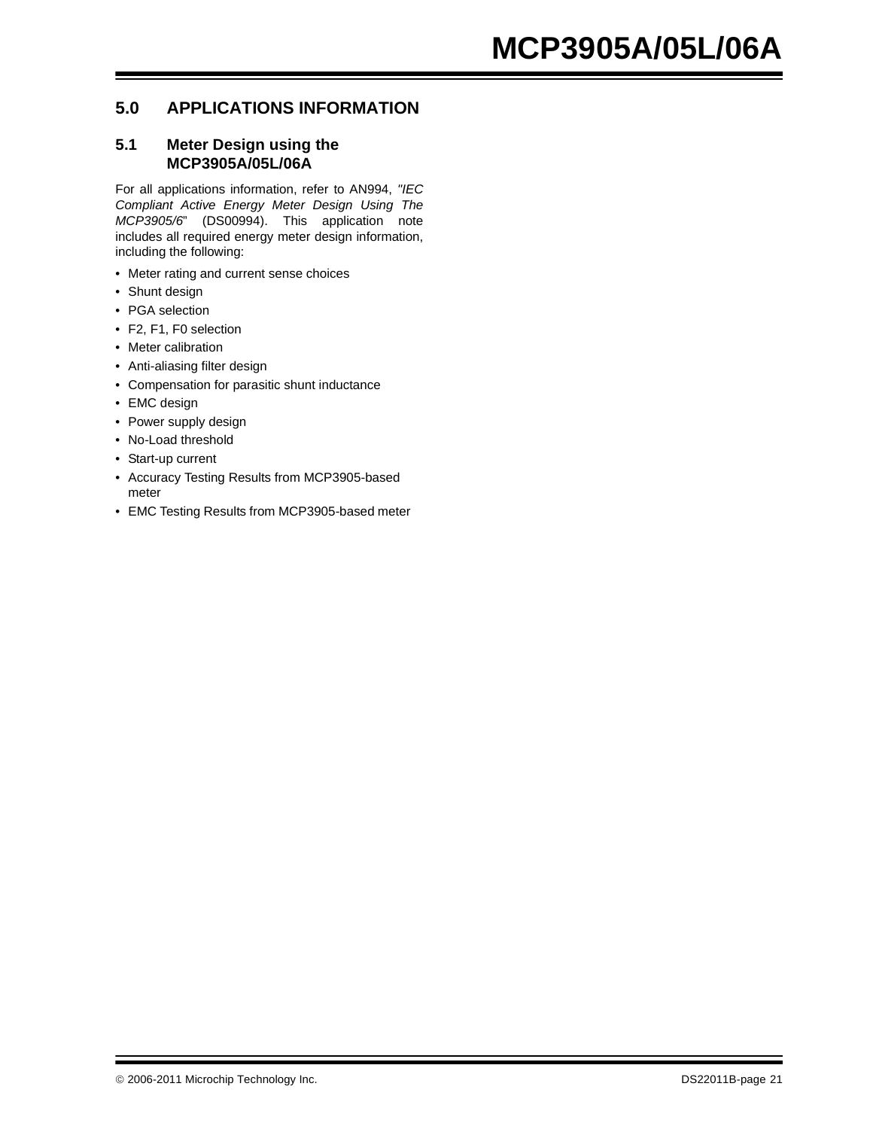#### <span id="page-20-0"></span>**5.0 APPLICATIONS INFORMATION**

#### **5.1 Meter Design using the MCP3905A/05L/06A**

For all applications information, refer to AN994, *"IEC Compliant Active Energy Meter Design Using The MCP3905/6*" (DS00994). This application note includes all required energy meter design information, including the following:

- Meter rating and current sense choices
- Shunt design
- PGA selection
- F2, F1, F0 selection
- Meter calibration
- Anti-aliasing filter design
- Compensation for parasitic shunt inductance
- EMC design
- Power supply design
- No-Load threshold
- Start-up current
- Accuracy Testing Results from MCP3905-based meter
- EMC Testing Results from MCP3905-based meter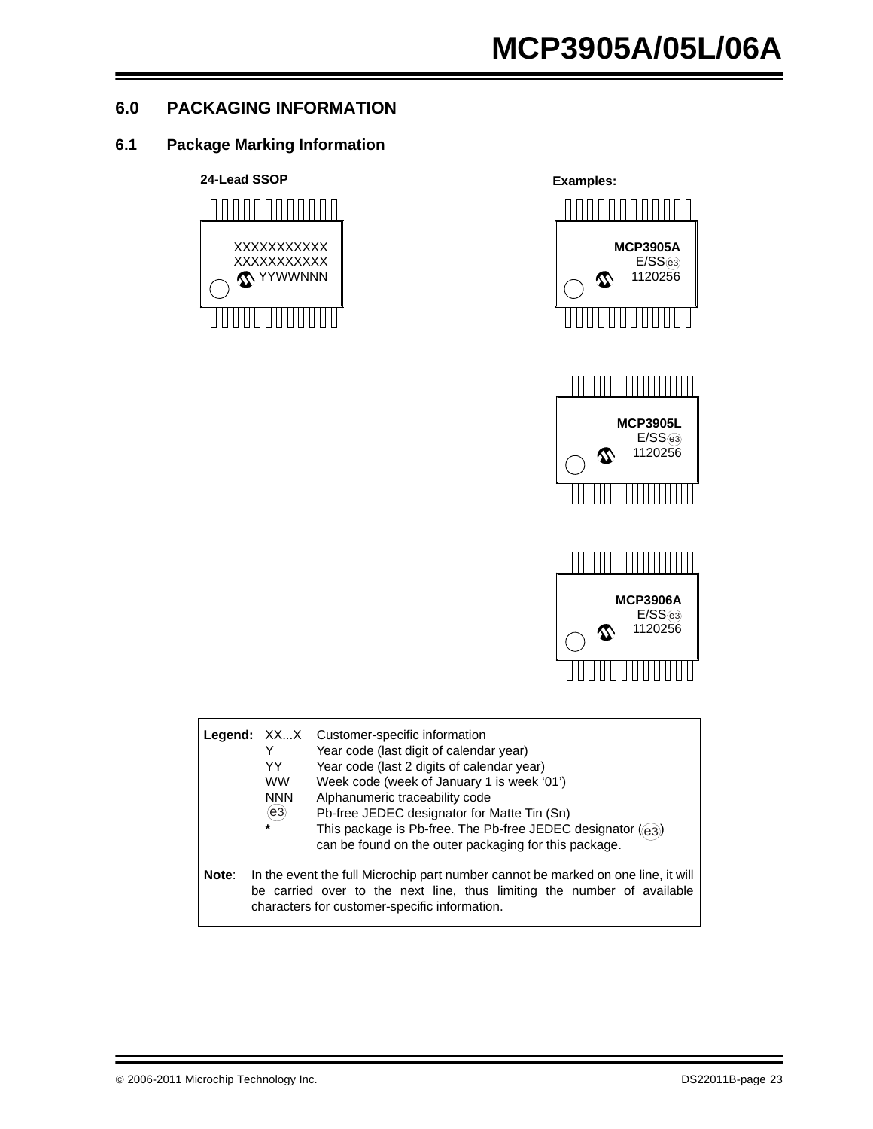#### <span id="page-22-0"></span>**6.0 PACKAGING INFORMATION**

#### **6.1 Package Marking Information**





|       | Y<br>YY<br><b>WW</b><br><b>NNN</b><br>(e3)<br>$\star$                                                                                                                                                         | <b>Legend:</b> XXX Customer-specific information<br>Year code (last digit of calendar year)<br>Year code (last 2 digits of calendar year)<br>Week code (week of January 1 is week '01')<br>Alphanumeric traceability code<br>Pb-free JEDEC designator for Matte Tin (Sn)<br>This package is Pb-free. The Pb-free JEDEC designator $(63)$<br>can be found on the outer packaging for this package. |  |  |
|-------|---------------------------------------------------------------------------------------------------------------------------------------------------------------------------------------------------------------|---------------------------------------------------------------------------------------------------------------------------------------------------------------------------------------------------------------------------------------------------------------------------------------------------------------------------------------------------------------------------------------------------|--|--|
| Note: | In the event the full Microchip part number cannot be marked on one line, it will<br>be carried over to the next line, thus limiting the number of available<br>characters for customer-specific information. |                                                                                                                                                                                                                                                                                                                                                                                                   |  |  |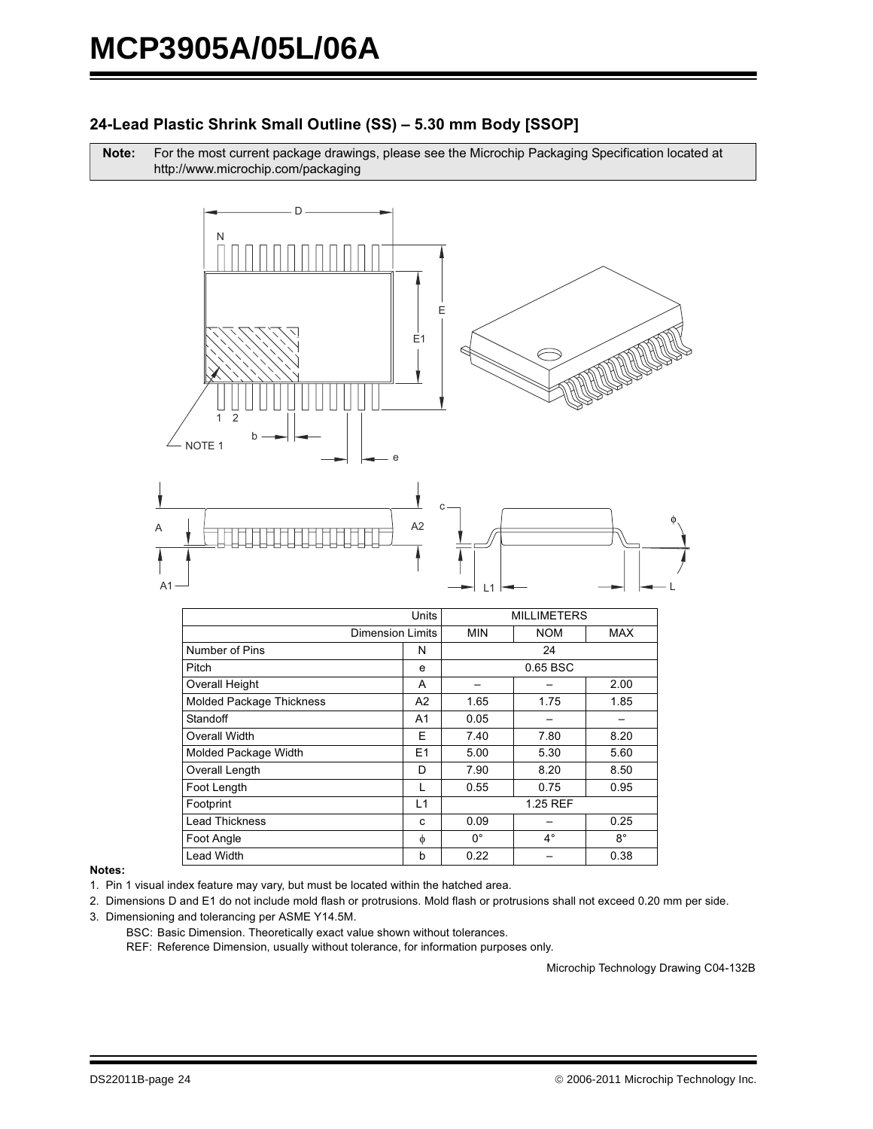#### 24-Lead Plastic Shrink Small Outline (SS) - 5.30 mm Body [SSOP]

Note: For the most current package drawings, please see the Microchip Packaging Specification located at http://www.microchip.com/packaging



|                                 | Units          |             |             | <b>MILLIMETERS</b> |  |  |
|---------------------------------|----------------|-------------|-------------|--------------------|--|--|
| <b>Dimension Limits</b>         |                | <b>MIN</b>  | <b>NOM</b>  | MAX                |  |  |
| Number of Pins                  | N              | 24          |             |                    |  |  |
| Pitch                           | е              |             | 0.65 BSC    |                    |  |  |
| <b>Overall Height</b>           | A              |             |             | 2.00               |  |  |
| <b>Molded Package Thickness</b> | A <sub>2</sub> | 1.65        | 1.75        | 1.85               |  |  |
| Standoff                        | A <sub>1</sub> | 0.05        |             |                    |  |  |
| Overall Width                   | E              | 7.40        | 7.80        | 8.20               |  |  |
| Molded Package Width            | E1             | 5.00        | 5.30        | 5.60               |  |  |
| Overall Length                  | D              | 7.90        | 8.20        | 8.50               |  |  |
| Foot Length                     | L              | 0.55        | 0.75        | 0.95               |  |  |
| Footprint                       | L1             | 1.25 REF    |             |                    |  |  |
| <b>Lead Thickness</b>           | c              | 0.09        |             | 0.25               |  |  |
| Foot Angle                      | φ              | $0^{\circ}$ | $4^{\circ}$ | $8^{\circ}$        |  |  |
| <b>Lead Width</b>               | b              | 0.22        |             | 0.38               |  |  |

#### Notes:

1. Pin 1 visual index feature may vary, but must be located within the hatched area.

2. Dimensions D and E1 do not include mold flash or protrusions. Mold flash or protrusions shall not exceed 0.20 mm per side.

- 3. Dimensioning and tolerancing per ASME Y14.5M.
	- BSC: Basic Dimension. Theoretically exact value shown without tolerances.

REF: Reference Dimension, usually without tolerance, for information purposes only.

Microchip Technology Drawing C04-132B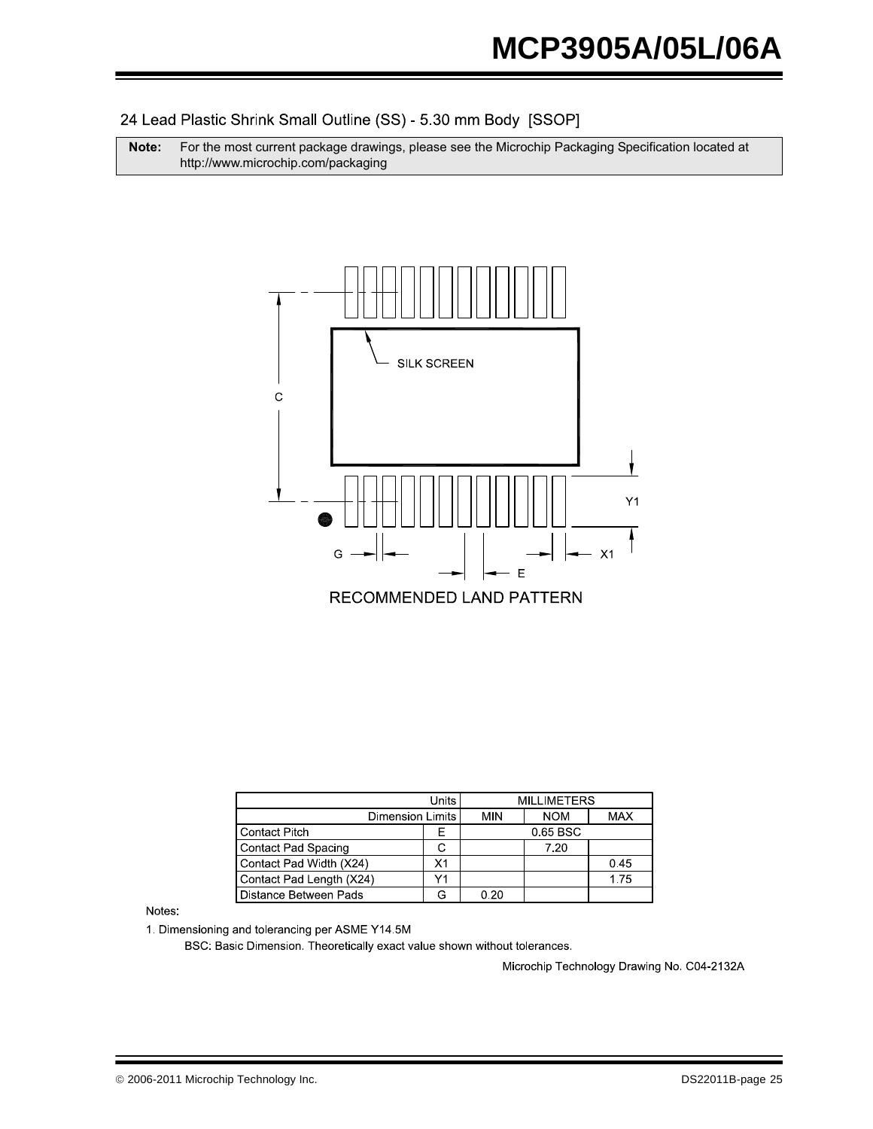24 Lead Plastic Shrink Small Outline (SS) - 5.30 mm Body [SSOP]

**Note:** For the most current package drawings, please see the Microchip Packaging Specification located at http://www.microchip.com/packaging



|                            | <b>MILLIMETERS</b> |            |            |      |
|----------------------------|--------------------|------------|------------|------|
| Dimension Limits           | MIN                | <b>NOM</b> | <b>MAX</b> |      |
| <b>Contact Pitch</b>       |                    |            | 0.65 BSC   |      |
| <b>Contact Pad Spacing</b> |                    |            | 7.20       |      |
| Contact Pad Width (X24)    | X1                 |            |            | 0.45 |
| Contact Pad Length (X24)   | V <sub>1</sub>     |            |            | 1.75 |
| Distance Between Pads      |                    | 0.20       |            |      |

Notes:

1. Dimensioning and tolerancing per ASME Y14 5M

BSC: Basic Dimension. Theoretically exact value shown without tolerances.

Microchip Technology Drawing No. C04-2132A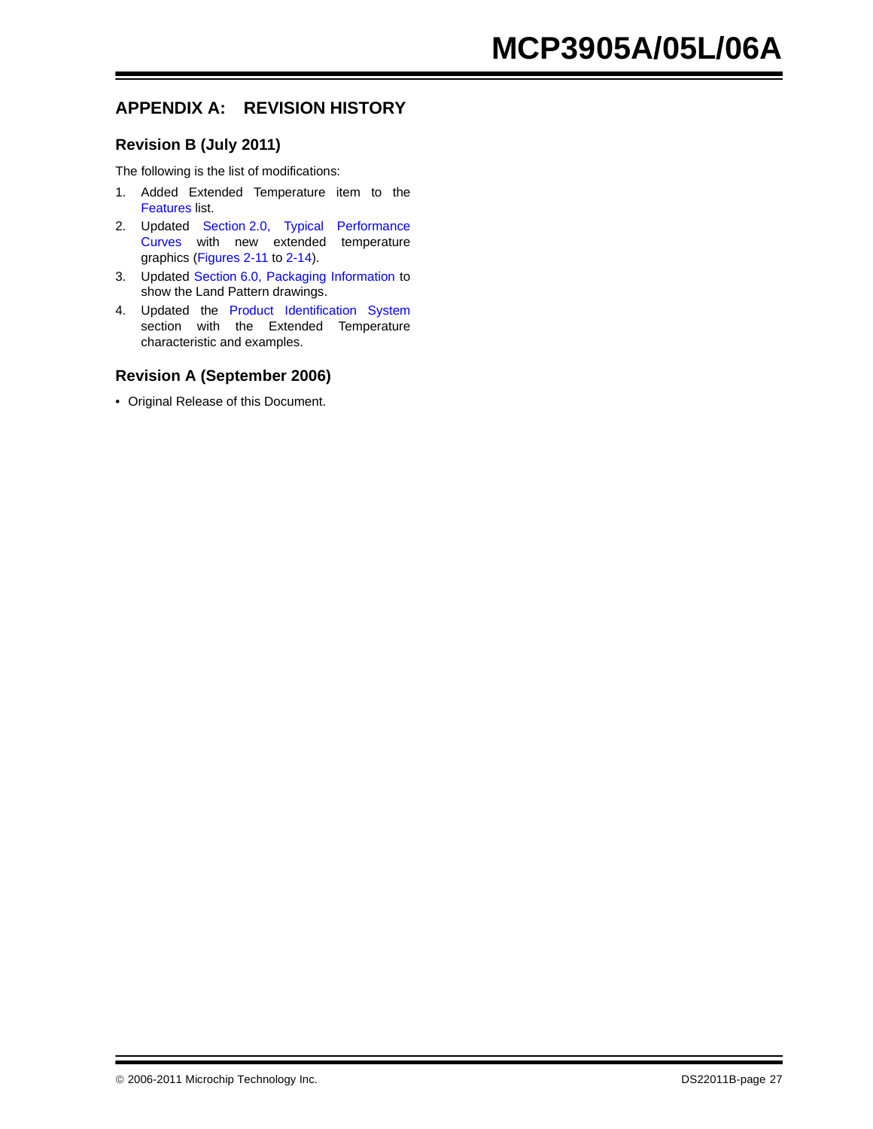#### **APPENDIX A: REVISION HISTORY**

#### **Revision B (July 2011)**

The following is the list of modifications:

- 1. Added Extended Temperature item to the [Features](#page-0-0) list.
- 2. Updated [Section 2.0, Typical Performance](#page-6-0) [Curves](#page-6-0) with new extended temperature graphics (Figure[s 2-11](#page-8-0) to [2-14\)](#page-8-1).
- 3. Updated [Section 6.0, Packaging Information](#page-22-0) to show the Land Pattern drawings.
- 4. Updated the [Product Identification System](#page-28-0) section with the Extended Temperature characteristic and examples.

#### **Revision A (September 2006)**

• Original Release of this Document.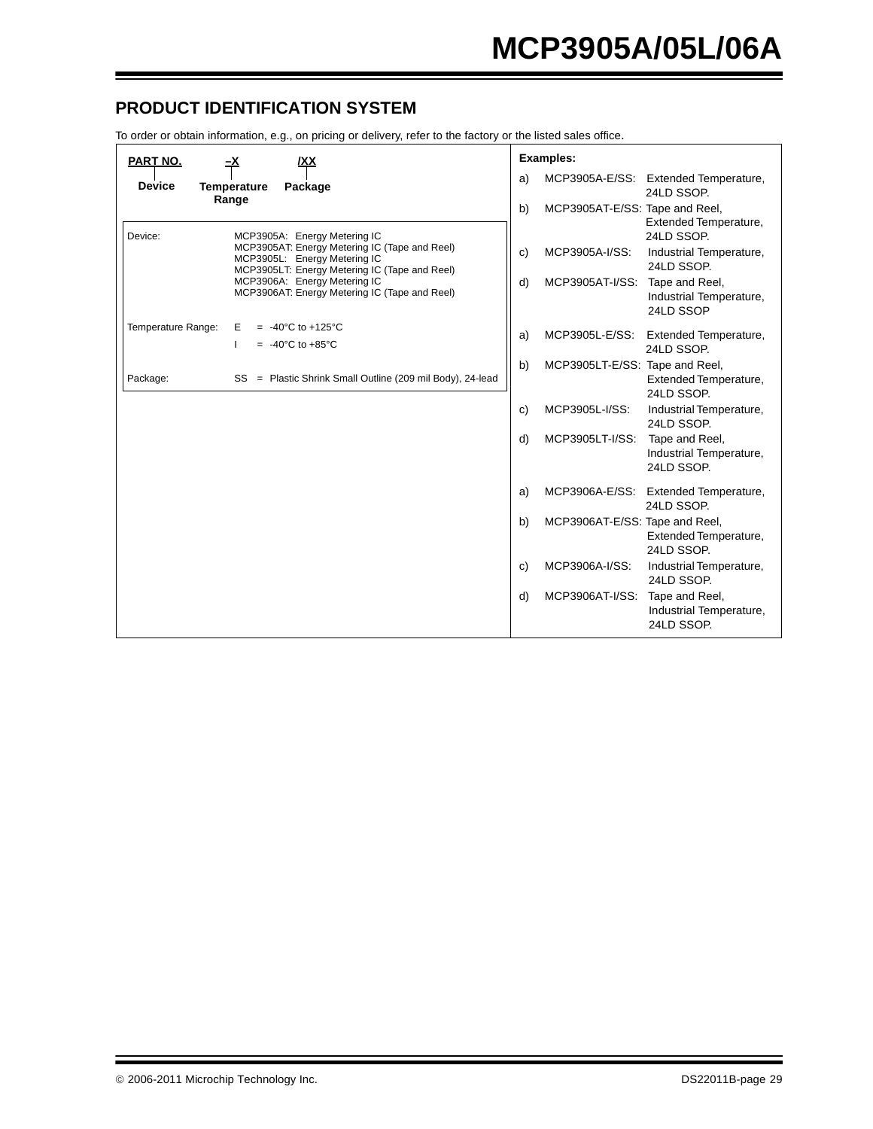#### <span id="page-28-0"></span>**PRODUCT IDENTIFICATION SYSTEM**

To order or obtain information, e.g., on pricing or delivery, refer to the factory or the listed sales office.

| PART NO.<br>IΧX<br><u>–x</u>                                                                                                   | <b>Examples:</b>                                                                 |
|--------------------------------------------------------------------------------------------------------------------------------|----------------------------------------------------------------------------------|
| <b>Device</b><br>Package<br><b>Temperature</b>                                                                                 | MCP3905A-E/SS: Extended Temperature,<br>a)<br>24LD SSOP.                         |
| Range<br>Device:<br>MCP3905A: Energy Metering IC                                                                               | MCP3905AT-E/SS: Tape and Reel,<br>b)<br>Extended Temperature,<br>24LD SSOP.      |
| MCP3905AT: Energy Metering IC (Tape and Reel)<br>MCP3905L: Energy Metering IC<br>MCP3905LT: Energy Metering IC (Tape and Reel) | MCP3905A-I/SS:<br>Industrial Temperature,<br>c)<br>24LD SSOP.                    |
| MCP3906A: Energy Metering IC<br>MCP3906AT: Energy Metering IC (Tape and Reel)                                                  | MCP3905AT-I/SS: Tape and Reel,<br>d)<br>Industrial Temperature,<br>24LD SSOP     |
| Temperature Range:<br>$= -40^{\circ}$ C to +125 $^{\circ}$ C<br>Е<br>$= -40^{\circ}$ C to +85 $^{\circ}$ C                     | MCP3905L-E/SS:<br><b>Extended Temperature,</b><br>a)<br>24LD SSOP.               |
| SS = Plastic Shrink Small Outline (209 mil Body), 24-lead<br>Package:                                                          | MCP3905LT-E/SS: Tape and Reel,<br>b)<br>Extended Temperature,<br>24LD SSOP.      |
|                                                                                                                                | MCP3905L-I/SS:<br>Industrial Temperature,<br>C)<br>24LD SSOP.                    |
|                                                                                                                                | MCP3905LT-I/SS:<br>Tape and Reel,<br>d)<br>Industrial Temperature,<br>24LD SSOP. |
|                                                                                                                                | MCP3906A-E/SS: Extended Temperature,<br>a)<br>24LD SSOP.                         |
|                                                                                                                                | MCP3906AT-E/SS: Tape and Reel,<br>b)<br>Extended Temperature,<br>24LD SSOP.      |
|                                                                                                                                | MCP3906A-I/SS:<br>Industrial Temperature,<br>C)<br>24LD SSOP.                    |
|                                                                                                                                | MCP3906AT-I/SS:<br>d)<br>Tape and Reel,<br>Industrial Temperature,<br>24LD SSOP. |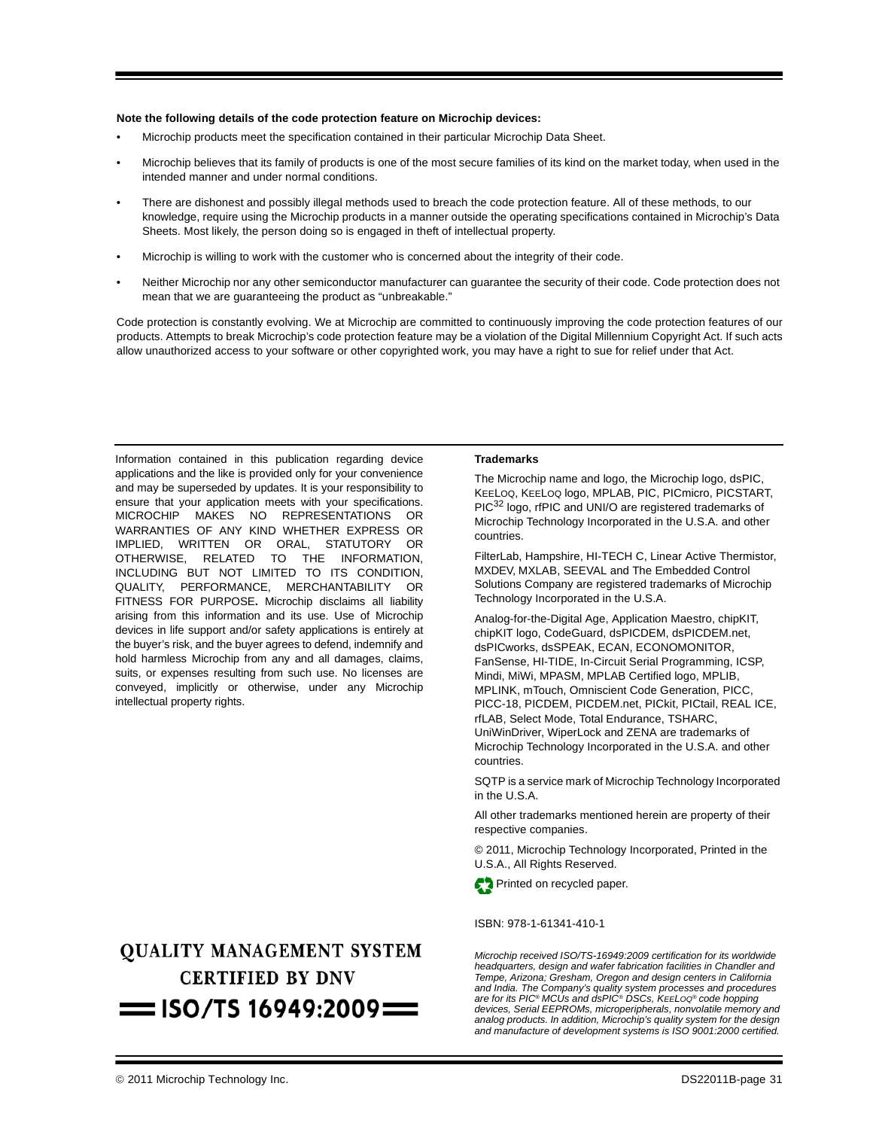#### **Note the following details of the code protection feature on Microchip devices:**

- Microchip products meet the specification contained in their particular Microchip Data Sheet.
- Microchip believes that its family of products is one of the most secure families of its kind on the market today, when used in the intended manner and under normal conditions.
- There are dishonest and possibly illegal methods used to breach the code protection feature. All of these methods, to our knowledge, require using the Microchip products in a manner outside the operating specifications contained in Microchip's Data Sheets. Most likely, the person doing so is engaged in theft of intellectual property.
- Microchip is willing to work with the customer who is concerned about the integrity of their code.
- Neither Microchip nor any other semiconductor manufacturer can guarantee the security of their code. Code protection does not mean that we are guaranteeing the product as "unbreakable."

Code protection is constantly evolving. We at Microchip are committed to continuously improving the code protection features of our products. Attempts to break Microchip's code protection feature may be a violation of the Digital Millennium Copyright Act. If such acts allow unauthorized access to your software or other copyrighted work, you may have a right to sue for relief under that Act.

Information contained in this publication regarding device applications and the like is provided only for your convenience and may be superseded by updates. It is your responsibility to ensure that your application meets with your specifications. MICROCHIP MAKES NO REPRESENTATIONS OR WARRANTIES OF ANY KIND WHETHER EXPRESS OR IMPLIED, WRITTEN OR ORAL, STATUTORY OR OTHERWISE, RELATED TO THE INFORMATION, INCLUDING BUT NOT LIMITED TO ITS CONDITION, QUALITY, PERFORMANCE, MERCHANTABILITY OR FITNESS FOR PURPOSE**.** Microchip disclaims all liability arising from this information and its use. Use of Microchip devices in life support and/or safety applications is entirely at the buyer's risk, and the buyer agrees to defend, indemnify and hold harmless Microchip from any and all damages, claims, suits, or expenses resulting from such use. No licenses are conveyed, implicitly or otherwise, under any Microchip intellectual property rights.

### **OUALITY MANAGEMENT SYSTEM CERTIFIED BY DNV**  $=$  ISO/TS 16949:2009 $=$

#### **Trademarks**

The Microchip name and logo, the Microchip logo, dsPIC, KEELOQ, KEELOQ logo, MPLAB, PIC, PICmicro, PICSTART, PIC<sup>32</sup> logo, rfPIC and UNI/O are registered trademarks of Microchip Technology Incorporated in the U.S.A. and other countries.

FilterLab, Hampshire, HI-TECH C, Linear Active Thermistor, MXDEV, MXLAB, SEEVAL and The Embedded Control Solutions Company are registered trademarks of Microchip Technology Incorporated in the U.S.A.

Analog-for-the-Digital Age, Application Maestro, chipKIT, chipKIT logo, CodeGuard, dsPICDEM, dsPICDEM.net, dsPICworks, dsSPEAK, ECAN, ECONOMONITOR, FanSense, HI-TIDE, In-Circuit Serial Programming, ICSP, Mindi, MiWi, MPASM, MPLAB Certified logo, MPLIB, MPLINK, mTouch, Omniscient Code Generation, PICC, PICC-18, PICDEM, PICDEM.net, PICkit, PICtail, REAL ICE, rfLAB, Select Mode, Total Endurance, TSHARC, UniWinDriver, WiperLock and ZENA are trademarks of Microchip Technology Incorporated in the U.S.A. and other countries.

SQTP is a service mark of Microchip Technology Incorporated in the U.S.A.

All other trademarks mentioned herein are property of their respective companies.

© 2011, Microchip Technology Incorporated, Printed in the U.S.A., All Rights Reserved.



#### ISBN: 978-1-61341-410-1

*Microchip received ISO/TS-16949:2009 certification for its worldwide headquarters, design and wafer fabrication facilities in Chandler and Tempe, Arizona; Gresham, Oregon and design centers in California and India. The Company's quality system processes and procedures are for its PIC® MCUs and dsPIC® DSCs, KEELOQ® code hopping devices, Serial EEPROMs, microperipherals, nonvolatile memory and analog products. In addition, Microchip's quality system for the design and manufacture of development systems is ISO 9001:2000 certified.*